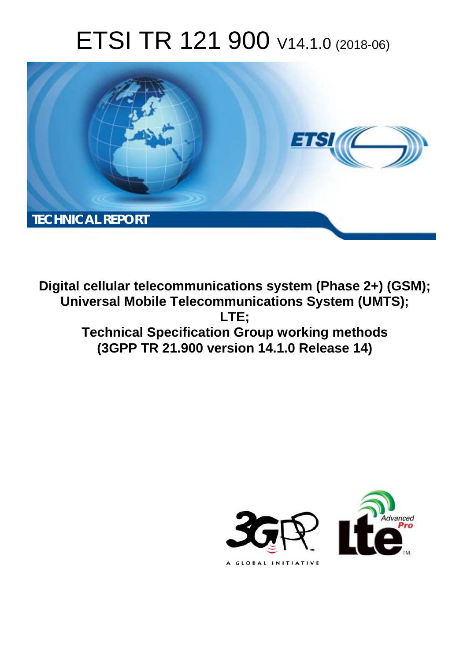# ETSI TR 121 900 V14.1.0 (2018-06)



**Digital cellular telecommunications system (Phase 2+) (GSM); Universal Mobile Telecommunications System (UMTS); LTE; Technical Specification Group working methods (3GPP TR 21.900 version 14.1.0 Release 14)** 

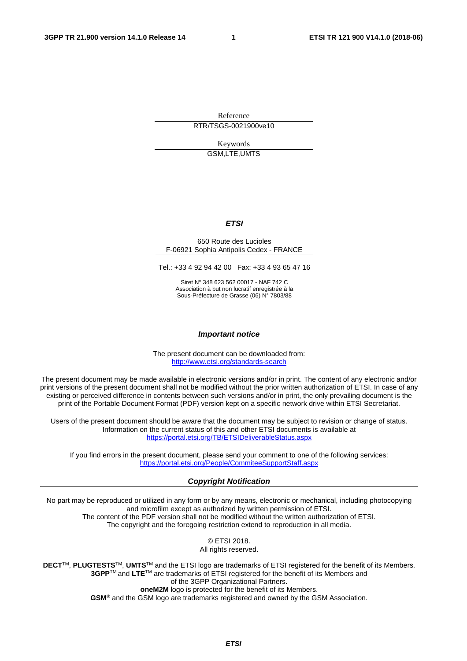Reference RTR/TSGS-0021900ve10

> Keywords GSM,LTE,UMTS

#### *ETSI*

#### 650 Route des Lucioles F-06921 Sophia Antipolis Cedex - FRANCE

Tel.: +33 4 92 94 42 00 Fax: +33 4 93 65 47 16

Siret N° 348 623 562 00017 - NAF 742 C Association à but non lucratif enregistrée à la Sous-Préfecture de Grasse (06) N° 7803/88

#### *Important notice*

The present document can be downloaded from: <http://www.etsi.org/standards-search>

The present document may be made available in electronic versions and/or in print. The content of any electronic and/or print versions of the present document shall not be modified without the prior written authorization of ETSI. In case of any existing or perceived difference in contents between such versions and/or in print, the only prevailing document is the print of the Portable Document Format (PDF) version kept on a specific network drive within ETSI Secretariat.

Users of the present document should be aware that the document may be subject to revision or change of status. Information on the current status of this and other ETSI documents is available at <https://portal.etsi.org/TB/ETSIDeliverableStatus.aspx>

If you find errors in the present document, please send your comment to one of the following services: <https://portal.etsi.org/People/CommiteeSupportStaff.aspx>

#### *Copyright Notification*

No part may be reproduced or utilized in any form or by any means, electronic or mechanical, including photocopying and microfilm except as authorized by written permission of ETSI. The content of the PDF version shall not be modified without the written authorization of ETSI. The copyright and the foregoing restriction extend to reproduction in all media.

> © ETSI 2018. All rights reserved.

**DECT**TM, **PLUGTESTS**TM, **UMTS**TM and the ETSI logo are trademarks of ETSI registered for the benefit of its Members. **3GPP**TM and **LTE**TM are trademarks of ETSI registered for the benefit of its Members and of the 3GPP Organizational Partners. **oneM2M** logo is protected for the benefit of its Members.

**GSM**® and the GSM logo are trademarks registered and owned by the GSM Association.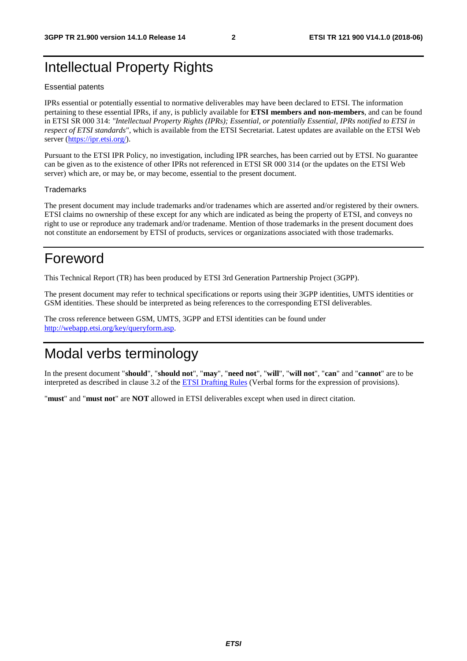# Intellectual Property Rights

#### Essential patents

IPRs essential or potentially essential to normative deliverables may have been declared to ETSI. The information pertaining to these essential IPRs, if any, is publicly available for **ETSI members and non-members**, and can be found in ETSI SR 000 314: *"Intellectual Property Rights (IPRs); Essential, or potentially Essential, IPRs notified to ETSI in respect of ETSI standards"*, which is available from the ETSI Secretariat. Latest updates are available on the ETSI Web server ([https://ipr.etsi.org/\)](https://ipr.etsi.org/).

Pursuant to the ETSI IPR Policy, no investigation, including IPR searches, has been carried out by ETSI. No guarantee can be given as to the existence of other IPRs not referenced in ETSI SR 000 314 (or the updates on the ETSI Web server) which are, or may be, or may become, essential to the present document.

#### **Trademarks**

The present document may include trademarks and/or tradenames which are asserted and/or registered by their owners. ETSI claims no ownership of these except for any which are indicated as being the property of ETSI, and conveys no right to use or reproduce any trademark and/or tradename. Mention of those trademarks in the present document does not constitute an endorsement by ETSI of products, services or organizations associated with those trademarks.

# Foreword

This Technical Report (TR) has been produced by ETSI 3rd Generation Partnership Project (3GPP).

The present document may refer to technical specifications or reports using their 3GPP identities, UMTS identities or GSM identities. These should be interpreted as being references to the corresponding ETSI deliverables.

The cross reference between GSM, UMTS, 3GPP and ETSI identities can be found under [http://webapp.etsi.org/key/queryform.asp.](http://webapp.etsi.org/key/queryform.asp)

# Modal verbs terminology

In the present document "**should**", "**should not**", "**may**", "**need not**", "**will**", "**will not**", "**can**" and "**cannot**" are to be interpreted as described in clause 3.2 of the [ETSI Drafting Rules](https://portal.etsi.org/Services/editHelp!/Howtostart/ETSIDraftingRules.aspx) (Verbal forms for the expression of provisions).

"**must**" and "**must not**" are **NOT** allowed in ETSI deliverables except when used in direct citation.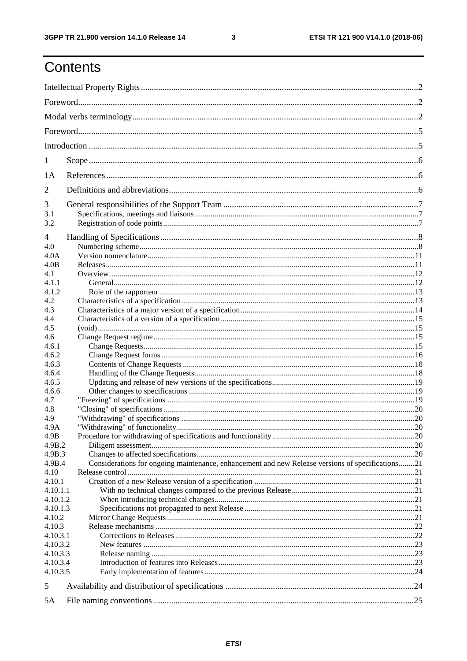$\mathbf{3}$ 

# Contents

| 1                  |                                                                                                  |  |  |
|--------------------|--------------------------------------------------------------------------------------------------|--|--|
| 1A                 |                                                                                                  |  |  |
| 2                  |                                                                                                  |  |  |
| 3                  |                                                                                                  |  |  |
| 3.1                |                                                                                                  |  |  |
| 3.2                |                                                                                                  |  |  |
| 4                  |                                                                                                  |  |  |
| 4.0                |                                                                                                  |  |  |
| 4.0A               |                                                                                                  |  |  |
| 4.0B               |                                                                                                  |  |  |
| 4.1                |                                                                                                  |  |  |
| 4.1.1              |                                                                                                  |  |  |
| 4.1.2              |                                                                                                  |  |  |
| 4.2                |                                                                                                  |  |  |
| 4.3                |                                                                                                  |  |  |
| 4.4<br>4.5         |                                                                                                  |  |  |
| 4.6                |                                                                                                  |  |  |
| 4.6.1              |                                                                                                  |  |  |
| 4.6.2              |                                                                                                  |  |  |
| 4.6.3              |                                                                                                  |  |  |
| 4.6.4              |                                                                                                  |  |  |
| 4.6.5              |                                                                                                  |  |  |
| 4.6.6              |                                                                                                  |  |  |
| 4.7                |                                                                                                  |  |  |
| 4.8                |                                                                                                  |  |  |
| 4.9                |                                                                                                  |  |  |
| 4.9A               |                                                                                                  |  |  |
| 4.9B               |                                                                                                  |  |  |
| 4.9B.2             |                                                                                                  |  |  |
| 4.9B.3             |                                                                                                  |  |  |
| 4.9B.4             | Considerations for ongoing maintenance, enhancement and new Release versions of specifications21 |  |  |
| 4.10               |                                                                                                  |  |  |
| 4.10.1<br>4.10.1.1 |                                                                                                  |  |  |
| 4.10.1.2           |                                                                                                  |  |  |
| 4.10.1.3           |                                                                                                  |  |  |
| 4.10.2             |                                                                                                  |  |  |
| 4.10.3             |                                                                                                  |  |  |
| 4.10.3.1           |                                                                                                  |  |  |
| 4.10.3.2           |                                                                                                  |  |  |
| 4.10.3.3           |                                                                                                  |  |  |
| 4.10.3.4           |                                                                                                  |  |  |
| 4.10.3.5           |                                                                                                  |  |  |
| 5                  |                                                                                                  |  |  |
| 5A                 |                                                                                                  |  |  |
|                    |                                                                                                  |  |  |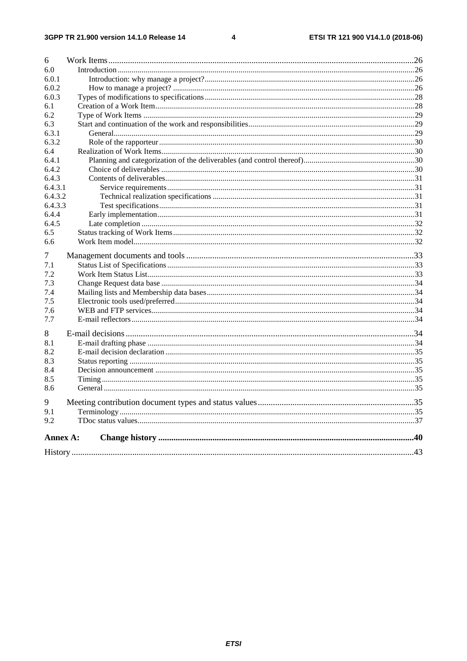#### $\overline{\mathbf{4}}$

| 6        |  |
|----------|--|
| 6.0      |  |
| 6.0.1    |  |
| 6.0.2    |  |
| 6.0.3    |  |
| 6.1      |  |
| 6.2      |  |
| 6.3      |  |
| 6.3.1    |  |
| 6.3.2    |  |
| 6.4      |  |
| 6.4.1    |  |
| 6.4.2    |  |
| 6.4.3    |  |
| 6.4.3.1  |  |
| 6.4.3.2  |  |
| 6.4.3.3  |  |
| 6.4.4    |  |
| 6.4.5    |  |
| 6.5      |  |
| 6.6      |  |
|          |  |
| 7        |  |
| 7.1      |  |
| 7.2      |  |
| 7.3      |  |
| 7.4      |  |
| 7.5      |  |
| 7.6      |  |
| 7.7      |  |
| 8        |  |
| 8.1      |  |
| 8.2      |  |
| 8.3      |  |
| 8.4      |  |
| 8.5      |  |
| 8.6      |  |
| 9        |  |
| 9.1      |  |
| 9.2      |  |
| Annex A: |  |
|          |  |
|          |  |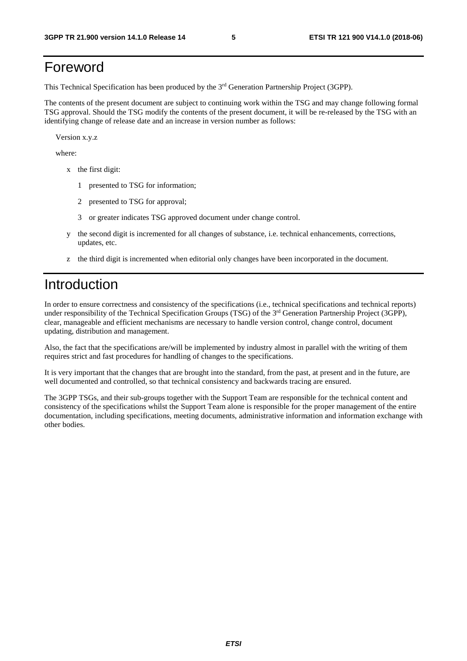# Foreword

This Technical Specification has been produced by the 3rd Generation Partnership Project (3GPP).

The contents of the present document are subject to continuing work within the TSG and may change following formal TSG approval. Should the TSG modify the contents of the present document, it will be re-released by the TSG with an identifying change of release date and an increase in version number as follows:

Version x.y.z

where:

- x the first digit:
	- 1 presented to TSG for information;
	- 2 presented to TSG for approval;
	- 3 or greater indicates TSG approved document under change control.
- y the second digit is incremented for all changes of substance, i.e. technical enhancements, corrections, updates, etc.
- z the third digit is incremented when editorial only changes have been incorporated in the document.

## Introduction

In order to ensure correctness and consistency of the specifications (i.e., technical specifications and technical reports) under responsibility of the Technical Specification Groups (TSG) of the 3<sup>rd</sup> Generation Partnership Project (3GPP), clear, manageable and efficient mechanisms are necessary to handle version control, change control, document updating, distribution and management.

Also, the fact that the specifications are/will be implemented by industry almost in parallel with the writing of them requires strict and fast procedures for handling of changes to the specifications.

It is very important that the changes that are brought into the standard, from the past, at present and in the future, are well documented and controlled, so that technical consistency and backwards tracing are ensured.

The 3GPP TSGs, and their sub-groups together with the Support Team are responsible for the technical content and consistency of the specifications whilst the Support Team alone is responsible for the proper management of the entire documentation, including specifications, meeting documents, administrative information and information exchange with other bodies.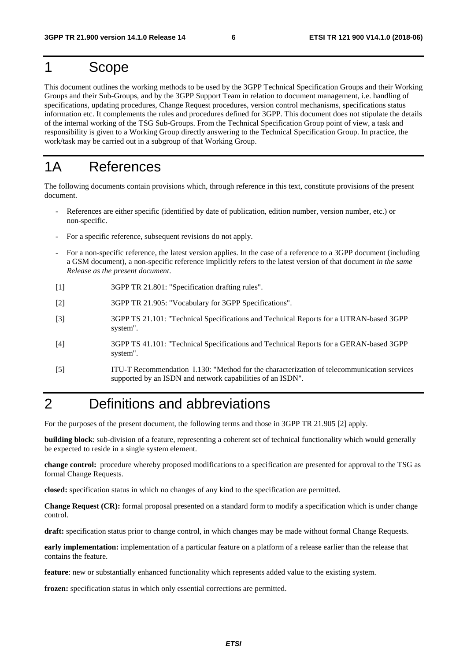# 1 Scope

This document outlines the working methods to be used by the 3GPP Technical Specification Groups and their Working Groups and their Sub-Groups, and by the 3GPP Support Team in relation to document management, i.e. handling of specifications, updating procedures, Change Request procedures, version control mechanisms, specifications status information etc. It complements the rules and procedures defined for 3GPP. This document does not stipulate the details of the internal working of the TSG Sub-Groups. From the Technical Specification Group point of view, a task and responsibility is given to a Working Group directly answering to the Technical Specification Group. In practice, the work/task may be carried out in a subgroup of that Working Group.

# 1A References

The following documents contain provisions which, through reference in this text, constitute provisions of the present document.

- References are either specific (identified by date of publication, edition number, version number, etc.) or non-specific.
- For a specific reference, subsequent revisions do not apply.
- For a non-specific reference, the latest version applies. In the case of a reference to a 3GPP document (including a GSM document), a non-specific reference implicitly refers to the latest version of that document *in the same Release as the present document*.
- [1] 3GPP TR 21.801: "Specification drafting rules".
- [2] 3GPP TR 21.905: "Vocabulary for 3GPP Specifications".
- [3] 3GPP TS 21.101: "Technical Specifications and Technical Reports for a UTRAN-based 3GPP system".
- [4] 3GPP TS 41.101: "Technical Specifications and Technical Reports for a GERAN-based 3GPP system".
- [5] ITU-T Recommendation I.130: "Method for the characterization of telecommunication services supported by an ISDN and network capabilities of an ISDN".

# 2 Definitions and abbreviations

For the purposes of the present document, the following terms and those in 3GPP TR 21.905 [2] apply.

**building block**: sub-division of a feature, representing a coherent set of technical functionality which would generally be expected to reside in a single system element.

**change control:** procedure whereby proposed modifications to a specification are presented for approval to the TSG as formal Change Requests.

**closed:** specification status in which no changes of any kind to the specification are permitted.

**Change Request (CR):** formal proposal presented on a standard form to modify a specification which is under change control.

**draft:** specification status prior to change control, in which changes may be made without formal Change Requests.

**early implementation:** implementation of a particular feature on a platform of a release earlier than the release that contains the feature.

**feature**: new or substantially enhanced functionality which represents added value to the existing system.

**frozen:** specification status in which only essential corrections are permitted.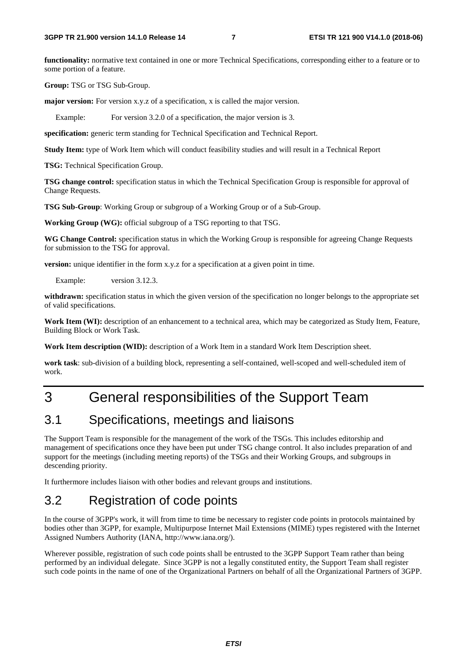**functionality:** normative text contained in one or more Technical Specifications, corresponding either to a feature or to some portion of a feature.

**Group:** TSG or TSG Sub-Group.

**major version:** For version x.y.z of a specification, x is called the major version.

Example: For version 3.2.0 of a specification, the major version is 3.

**specification:** generic term standing for Technical Specification and Technical Report.

**Study Item:** type of Work Item which will conduct feasibility studies and will result in a Technical Report

**TSG:** Technical Specification Group.

**TSG change control:** specification status in which the Technical Specification Group is responsible for approval of Change Requests.

**TSG Sub-Group**: Working Group or subgroup of a Working Group or of a Sub-Group.

**Working Group (WG):** official subgroup of a TSG reporting to that TSG.

**WG Change Control:** specification status in which the Working Group is responsible for agreeing Change Requests for submission to the TSG for approval.

**version:** unique identifier in the form x.y.z for a specification at a given point in time.

Example: version 3.12.3.

withdrawn: specification status in which the given version of the specification no longer belongs to the appropriate set of valid specifications.

**Work Item (WI):** description of an enhancement to a technical area, which may be categorized as Study Item, Feature, Building Block or Work Task.

**Work Item description (WID):** description of a Work Item in a standard Work Item Description sheet.

**work task**: sub-division of a building block, representing a self-contained, well-scoped and well-scheduled item of work.

# 3 General responsibilities of the Support Team

### 3.1 Specifications, meetings and liaisons

The Support Team is responsible for the management of the work of the TSGs. This includes editorship and management of specifications once they have been put under TSG change control. It also includes preparation of and support for the meetings (including meeting reports) of the TSGs and their Working Groups, and subgroups in descending priority.

It furthermore includes liaison with other bodies and relevant groups and institutions.

# 3.2 Registration of code points

In the course of 3GPP's work, it will from time to time be necessary to register code points in protocols maintained by bodies other than 3GPP, for example, Multipurpose Internet Mail Extensions (MIME) types registered with the Internet Assigned Numbers Authority (IANA, http://www.iana.org/).

Wherever possible, registration of such code points shall be entrusted to the 3GPP Support Team rather than being performed by an individual delegate. Since 3GPP is not a legally constituted entity, the Support Team shall register such code points in the name of one of the Organizational Partners on behalf of all the Organizational Partners of 3GPP.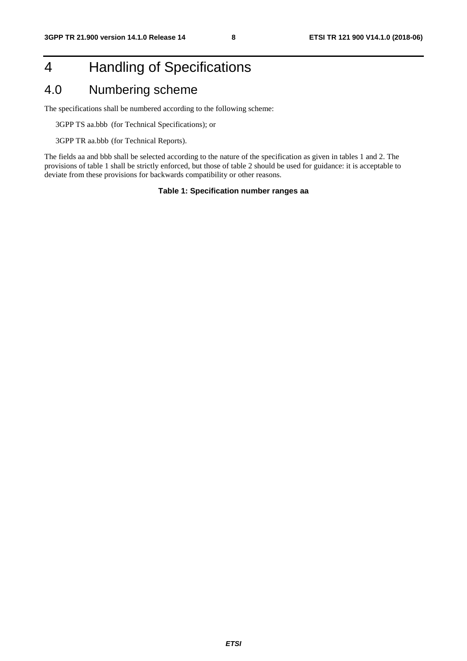# 4 Handling of Specifications

### 4.0 Numbering scheme

The specifications shall be numbered according to the following scheme:

3GPP TS aa.bbb (for Technical Specifications); or

3GPP TR aa.bbb (for Technical Reports).

The fields aa and bbb shall be selected according to the nature of the specification as given in tables 1 and 2. The provisions of table 1 shall be strictly enforced, but those of table 2 should be used for guidance: it is acceptable to deviate from these provisions for backwards compatibility or other reasons.

#### **Table 1: Specification number ranges aa**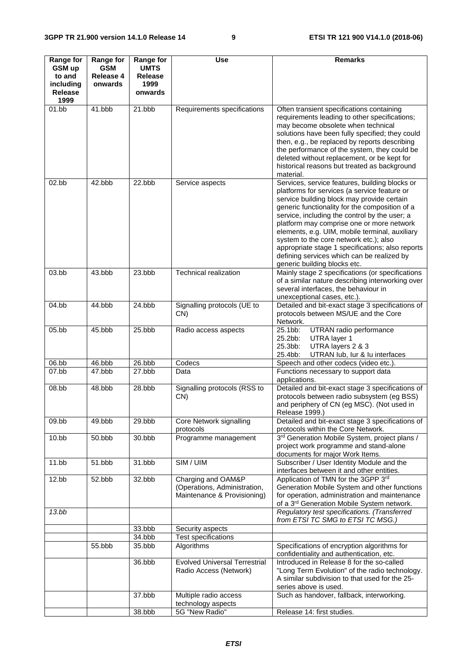| Range for                                               | <b>Range for</b>            | <b>Range for</b>                          | Use                                                                               | <b>Remarks</b>                                                                                                                                                                                                                                                                                                                                                                                                                                                                                                             |
|---------------------------------------------------------|-----------------------------|-------------------------------------------|-----------------------------------------------------------------------------------|----------------------------------------------------------------------------------------------------------------------------------------------------------------------------------------------------------------------------------------------------------------------------------------------------------------------------------------------------------------------------------------------------------------------------------------------------------------------------------------------------------------------------|
| GSM up<br>to and<br>including<br><b>Release</b><br>1999 | GSM<br>Release 4<br>onwards | <b>UMTS</b><br>Release<br>1999<br>onwards |                                                                                   |                                                                                                                                                                                                                                                                                                                                                                                                                                                                                                                            |
| 01.bb                                                   | 41.bbb                      | 21.bbb                                    | Requirements specifications                                                       | Often transient specifications containing<br>requirements leading to other specifications;<br>may become obsolete when technical<br>solutions have been fully specified; they could<br>then, e.g., be replaced by reports describing<br>the performance of the system, they could be<br>deleted without replacement, or be kept for<br>historical reasons but treated as background<br>material.                                                                                                                           |
| 02.bb                                                   | 42.bbb                      | 22.bbb                                    | Service aspects                                                                   | Services, service features, building blocks or<br>platforms for services (a service feature or<br>service building block may provide certain<br>generic functionality for the composition of a<br>service, including the control by the user; a<br>platform may comprise one or more network<br>elements, e.g. UIM, mobile terminal, auxiliary<br>system to the core network etc.); also<br>appropriate stage 1 specifications; also reports<br>defining services which can be realized by<br>generic building blocks etc. |
| 03.bb                                                   | 43.bbb                      | 23.bbb                                    | <b>Technical realization</b>                                                      | Mainly stage 2 specifications (or specifications<br>of a similar nature describing interworking over<br>several interfaces, the behaviour in<br>unexceptional cases, etc.).                                                                                                                                                                                                                                                                                                                                                |
| 04.bb                                                   | 44.bbb                      | 24.bbb                                    | Signalling protocols (UE to<br>CN)                                                | Detailed and bit-exact stage 3 specifications of<br>protocols between MS/UE and the Core<br>Network.                                                                                                                                                                                                                                                                                                                                                                                                                       |
| 05.bb                                                   | 45.bbb                      | 25.bbb                                    | Radio access aspects                                                              | 25.1bb:<br>UTRAN radio performance<br>25.2bb:<br>UTRA layer 1<br>25.3bb:<br>UTRA layers 2 & 3<br>25.4bb:<br>UTRAN lub, lur & lu interfaces                                                                                                                                                                                                                                                                                                                                                                                 |
| 06.bb                                                   | 46.bbb                      | $26.$ bbb                                 | Codecs                                                                            | Speech and other codecs (video etc.).                                                                                                                                                                                                                                                                                                                                                                                                                                                                                      |
| 07.bb                                                   | 47.bbb                      | 27.bbb                                    | Data                                                                              | Functions necessary to support data<br>applications.                                                                                                                                                                                                                                                                                                                                                                                                                                                                       |
| 08.bb                                                   | 48.bbb                      | 28.bbb                                    | Signalling protocols (RSS to<br>CN)                                               | Detailed and bit-exact stage 3 specifications of<br>protocols between radio subsystem (eg BSS)<br>and periphery of CN (eg MSC). (Not used in<br>Release 1999.)                                                                                                                                                                                                                                                                                                                                                             |
| 09.bb                                                   | 49.bbb                      | 29.bbb                                    | Core Network signalling<br>protocols                                              | Detailed and bit-exact stage 3 specifications of<br>protocols within the Core Network.                                                                                                                                                                                                                                                                                                                                                                                                                                     |
| 10.bb                                                   | 50.bbb                      | 30.bbb                                    | Programme management                                                              | 3rd Generation Mobile System, project plans /<br>project work programme and stand-alone<br>documents for major Work Items.                                                                                                                                                                                                                                                                                                                                                                                                 |
| 11.bb                                                   | 51.bbb                      | 31.bbb                                    | SIM / UIM                                                                         | Subscriber / User Identity Module and the<br>interfaces between it and other entities.                                                                                                                                                                                                                                                                                                                                                                                                                                     |
| 12.bb                                                   | 52.bbb                      | 32.bbb                                    | Charging and OAM&P<br>(Operations, Administration,<br>Maintenance & Provisioning) | Application of TMN for the 3GPP 3rd<br>Generation Mobile System and other functions<br>for operation, administration and maintenance<br>of a 3 <sup>rd</sup> Generation Mobile System network.                                                                                                                                                                                                                                                                                                                             |
| 13.bb                                                   |                             |                                           |                                                                                   | Regulatory test specifications. (Transferred<br>from ETSI TC SMG to ETSI TC MSG.)                                                                                                                                                                                                                                                                                                                                                                                                                                          |
|                                                         |                             | 33.bbb                                    | Security aspects                                                                  |                                                                                                                                                                                                                                                                                                                                                                                                                                                                                                                            |
|                                                         |                             | 34.bbb                                    | <b>Test specifications</b>                                                        |                                                                                                                                                                                                                                                                                                                                                                                                                                                                                                                            |
|                                                         | 55.bbb                      | 35.bbb                                    | Algorithms                                                                        | Specifications of encryption algorithms for<br>confidentiality and authentication, etc.                                                                                                                                                                                                                                                                                                                                                                                                                                    |
|                                                         |                             | 36.bbb                                    | <b>Evolved Universal Terrestrial</b><br>Radio Access (Network)                    | Introduced in Release 8 for the so-called<br>"Long Term Evolution" of the radio technology.<br>A similar subdivision to that used for the 25-<br>series above is used.                                                                                                                                                                                                                                                                                                                                                     |
|                                                         |                             | 37.bbb                                    | Multiple radio access<br>technology aspects                                       | Such as handover, fallback, interworking.                                                                                                                                                                                                                                                                                                                                                                                                                                                                                  |
|                                                         |                             | 38.bbb                                    | 5G "New Radio"                                                                    | Release 14: first studies.                                                                                                                                                                                                                                                                                                                                                                                                                                                                                                 |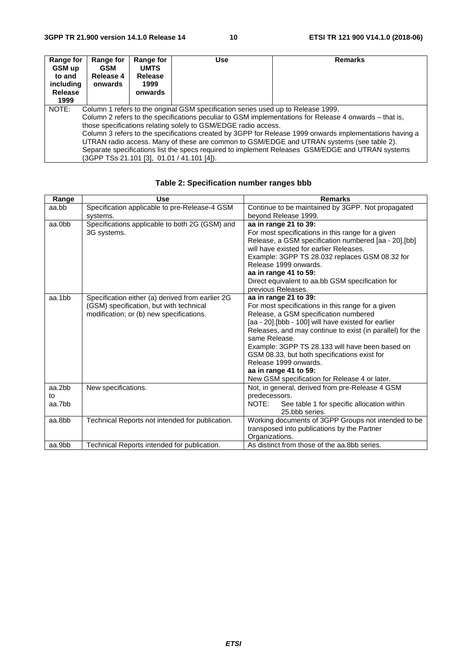| Range for<br>GSM up<br>to and<br>including<br>Release<br>1999                                           | Range for<br><b>GSM</b><br>Release 4<br>onwards | Range for<br><b>UMTS</b><br><b>Release</b><br>1999<br>onwards | Use | <b>Remarks</b> |
|---------------------------------------------------------------------------------------------------------|-------------------------------------------------|---------------------------------------------------------------|-----|----------------|
| NOTE:<br>Column 1 refers to the original GSM specification series used up to Release 1999.              |                                                 |                                                               |     |                |
| Column 2 refers to the specifications peculiar to GSM implementations for Release 4 onwards – that is,  |                                                 |                                                               |     |                |
| those specifications relating solely to GSM/EDGE radio access.                                          |                                                 |                                                               |     |                |
| Column 3 refers to the specifications created by 3GPP for Release 1999 onwards implementations having a |                                                 |                                                               |     |                |
| UTRAN radio access. Many of these are common to GSM/EDGE and UTRAN systems (see table 2).               |                                                 |                                                               |     |                |
| Separate specifications list the specs required to implement Releases GSM/EDGE and UTRAN systems        |                                                 |                                                               |     |                |
| (3GPP TSs 21.101 [3], 01.01 / 41.101 [4]).                                                              |                                                 |                                                               |     |                |

| Range  | <b>Use</b>                                       | <b>Remarks</b>                                            |
|--------|--------------------------------------------------|-----------------------------------------------------------|
| aa.bb  | Specification applicable to pre-Release-4 GSM    | Continue to be maintained by 3GPP. Not propagated         |
|        | systems.                                         | beyond Release 1999.                                      |
| aa.0bb | Specifications applicable to both 2G (GSM) and   | aa in range 21 to 39:                                     |
|        | 3G systems.                                      | For most specifications in this range for a given         |
|        |                                                  | Release, a GSM specification numbered [aa - 20].[bb]      |
|        |                                                  | will have existed for earlier Releases.                   |
|        |                                                  | Example: 3GPP TS 28.032 replaces GSM 08.32 for            |
|        |                                                  | Release 1999 onwards.                                     |
|        |                                                  | aa in range 41 to 59:                                     |
|        |                                                  | Direct equivalent to aa.bb GSM specification for          |
|        |                                                  | previous Releases.                                        |
| aa.1bb | Specification either (a) derived from earlier 2G | aa in range 21 to 39:                                     |
|        | (GSM) specification, but with technical          | For most specifications in this range for a given         |
|        | modification; or (b) new specifications.         | Release, a GSM specification numbered                     |
|        |                                                  | [aa - 20].[bbb - 100] will have existed for earlier       |
|        |                                                  | Releases, and may continue to exist (in parallel) for the |
|        |                                                  | same Release.                                             |
|        |                                                  | Example: 3GPP TS 28.133 will have been based on           |
|        |                                                  | GSM 08.33, but both specifications exist for              |
|        |                                                  | Release 1999 onwards.                                     |
|        |                                                  | aa in range 41 to 59:                                     |
|        |                                                  | New GSM specification for Release 4 or later.             |
| aa.2bb | New specifications.                              | Not, in general, derived from pre-Release 4 GSM           |
| to     |                                                  | predecessors.                                             |
| aa.7bb |                                                  | NOTE:<br>See table 1 for specific allocation within       |
|        |                                                  | 25.bbb series.                                            |
| aa.8bb | Technical Reports not intended for publication.  | Working documents of 3GPP Groups not intended to be       |
|        |                                                  | transposed into publications by the Partner               |
|        |                                                  | Organizations.                                            |
| aa.9bb | Technical Reports intended for publication.      | As distinct from those of the aa.8bb series.              |

### **Table 2: Specification number ranges bbb**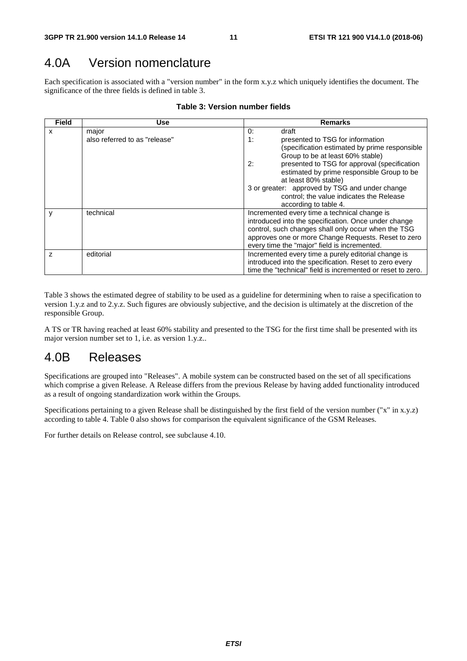## 4.0A Version nomenclature

Each specification is associated with a "version number" in the form x.y.z which uniquely identifies the document. The significance of the three fields is defined in table 3.

| Field          | <b>Use</b>                    | <b>Remarks</b>                                              |  |
|----------------|-------------------------------|-------------------------------------------------------------|--|
| x              | major                         | 0:<br>draft                                                 |  |
|                | also referred to as "release" | 1:<br>presented to TSG for information                      |  |
|                |                               | (specification estimated by prime responsible               |  |
|                |                               | Group to be at least 60% stable)                            |  |
|                |                               | presented to TSG for approval (specification<br>2:          |  |
|                |                               | estimated by prime responsible Group to be                  |  |
|                |                               | at least 80% stable)                                        |  |
|                |                               | 3 or greater: approved by TSG and under change              |  |
|                |                               | control; the value indicates the Release                    |  |
|                |                               | according to table 4.                                       |  |
|                | technical                     | Incremented every time a technical change is                |  |
|                |                               | introduced into the specification. Once under change        |  |
|                |                               | control, such changes shall only occur when the TSG         |  |
|                |                               | approves one or more Change Requests. Reset to zero         |  |
|                |                               | every time the "major" field is incremented.                |  |
| $\overline{z}$ | editorial                     | Incremented every time a purely editorial change is         |  |
|                |                               | introduced into the specification. Reset to zero every      |  |
|                |                               | time the "technical" field is incremented or reset to zero. |  |

#### **Table 3: Version number fields**

Table 3 shows the estimated degree of stability to be used as a guideline for determining when to raise a specification to version 1.y.z and to 2.y.z. Such figures are obviously subjective, and the decision is ultimately at the discretion of the responsible Group.

A TS or TR having reached at least 60% stability and presented to the TSG for the first time shall be presented with its major version number set to 1, i.e. as version 1.y.z..

# 4.0B Releases

Specifications are grouped into "Releases". A mobile system can be constructed based on the set of all specifications which comprise a given Release. A Release differs from the previous Release by having added functionality introduced as a result of ongoing standardization work within the Groups.

Specifications pertaining to a given Release shall be distinguished by the first field of the version number ("x" in x.y.z) according to table 4. Table 0 also shows for comparison the equivalent significance of the GSM Releases.

For further details on Release control, see subclause 4.10.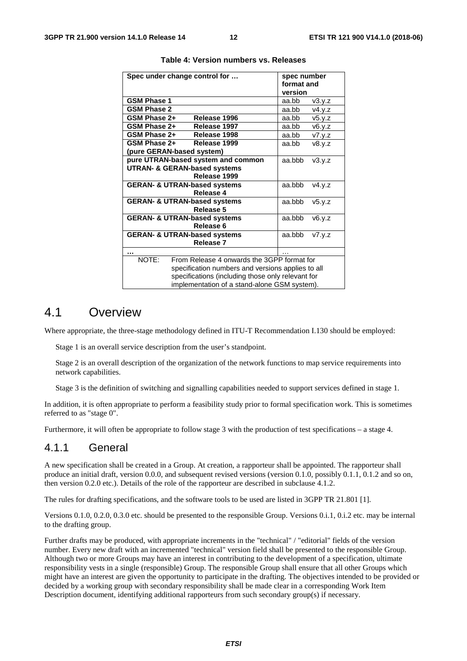| Spec under change control for                       | spec number<br>format and<br>version |  |
|-----------------------------------------------------|--------------------------------------|--|
| <b>GSM Phase 1</b>                                  | aa.bb                                |  |
|                                                     | v3.y.z                               |  |
| <b>GSM Phase 2</b>                                  | aa.bb<br>v4.y.z                      |  |
| GSM Phase 2+<br>Release 1996                        | aa.bb<br>v5.y.z                      |  |
| GSM Phase 2+<br>Release 1997                        | aa.bb<br>v6.y.z                      |  |
| GSM Phase 2+<br>Release 1998                        | aa.bb<br>v7.y.z                      |  |
| GSM Phase 2+<br>Release 1999                        | aa.bb<br>v8.y.z                      |  |
| (pure GERAN-based system)                           |                                      |  |
| pure UTRAN-based system and common                  | aa.bbb<br>v3.y.z                     |  |
| <b>UTRAN- &amp; GERAN-based systems</b>             |                                      |  |
| Release 1999                                        |                                      |  |
| <b>GERAN- &amp; UTRAN-based systems</b>             | aa.bbb<br>v4.y.z                     |  |
| Release 4                                           |                                      |  |
| <b>GERAN- &amp; UTRAN-based systems</b>             | aa.bbb<br>v5.y.z                     |  |
| Release 5                                           |                                      |  |
| <b>GERAN- &amp; UTRAN-based systems</b>             | aa.bbb<br>v6.y.z                     |  |
| Release 6                                           |                                      |  |
| <b>GERAN- &amp; UTRAN-based systems</b>             | aa.bbb<br>V7.Y.Z                     |  |
| Release 7                                           |                                      |  |
|                                                     |                                      |  |
| NOTE:<br>From Release 4 onwards the 3GPP format for |                                      |  |
| specification numbers and versions applies to all   |                                      |  |
| specifications (including those only relevant for   |                                      |  |
| implementation of a stand-alone GSM system).        |                                      |  |

**Table 4: Version numbers vs. Releases** 

### 4.1 Overview

Where appropriate, the three-stage methodology defined in ITU-T Recommendation I.130 should be employed:

Stage 1 is an overall service description from the user's standpoint.

Stage 2 is an overall description of the organization of the network functions to map service requirements into network capabilities.

Stage 3 is the definition of switching and signalling capabilities needed to support services defined in stage 1.

In addition, it is often appropriate to perform a feasibility study prior to formal specification work. This is sometimes referred to as "stage 0".

Furthermore, it will often be appropriate to follow stage 3 with the production of test specifications – a stage 4.

### 4.1.1 General

A new specification shall be created in a Group. At creation, a rapporteur shall be appointed. The rapporteur shall produce an initial draft, version 0.0.0, and subsequent revised versions (version 0.1.0, possibly 0.1.1, 0.1.2 and so on, then version 0.2.0 etc.). Details of the role of the rapporteur are described in subclause 4.1.2.

The rules for drafting specifications, and the software tools to be used are listed in 3GPP TR 21.801 [1].

Versions 0.1.0, 0.2.0, 0.3.0 etc. should be presented to the responsible Group. Versions 0.i.1, 0.i.2 etc. may be internal to the drafting group.

Further drafts may be produced, with appropriate increments in the "technical" / "editorial" fields of the version number. Every new draft with an incremented "technical" version field shall be presented to the responsible Group. Although two or more Groups may have an interest in contributing to the development of a specification, ultimate responsibility vests in a single (responsible) Group. The responsible Group shall ensure that all other Groups which might have an interest are given the opportunity to participate in the drafting. The objectives intended to be provided or decided by a working group with secondary responsibility shall be made clear in a corresponding Work Item Description document, identifying additional rapporteurs from such secondary group(s) if necessary.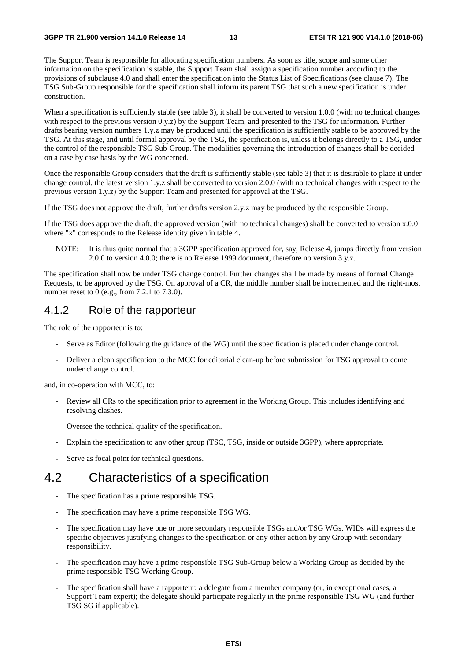The Support Team is responsible for allocating specification numbers. As soon as title, scope and some other information on the specification is stable, the Support Team shall assign a specification number according to the provisions of subclause 4.0 and shall enter the specification into the Status List of Specifications (see clause 7). The TSG Sub-Group responsible for the specification shall inform its parent TSG that such a new specification is under construction.

When a specification is sufficiently stable (see table 3), it shall be converted to version 1.0.0 (with no technical changes with respect to the previous version 0.y.z) by the Support Team, and presented to the TSG for information. Further drafts bearing version numbers 1.y.z may be produced until the specification is sufficiently stable to be approved by the TSG. At this stage, and until formal approval by the TSG, the specification is, unless it belongs directly to a TSG, under the control of the responsible TSG Sub-Group. The modalities governing the introduction of changes shall be decided on a case by case basis by the WG concerned.

Once the responsible Group considers that the draft is sufficiently stable (see table 3) that it is desirable to place it under change control, the latest version 1.y.z shall be converted to version 2.0.0 (with no technical changes with respect to the previous version 1.y.z) by the Support Team and presented for approval at the TSG.

If the TSG does not approve the draft, further drafts version 2.y.z may be produced by the responsible Group.

If the TSG does approve the draft, the approved version (with no technical changes) shall be converted to version x.0.0 where "x" corresponds to the Release identity given in table 4.

NOTE: It is thus quite normal that a 3GPP specification approved for, say, Release 4, jumps directly from version 2.0.0 to version 4.0.0; there is no Release 1999 document, therefore no version 3.y.z.

The specification shall now be under TSG change control. Further changes shall be made by means of formal Change Requests, to be approved by the TSG. On approval of a CR, the middle number shall be incremented and the right-most number reset to 0 (e.g., from 7.2.1 to 7.3.0).

#### 4.1.2 Role of the rapporteur

The role of the rapporteur is to:

- Serve as Editor (following the guidance of the WG) until the specification is placed under change control.
- Deliver a clean specification to the MCC for editorial clean-up before submission for TSG approval to come under change control.

and, in co-operation with MCC, to:

- Review all CRs to the specification prior to agreement in the Working Group. This includes identifying and resolving clashes.
- Oversee the technical quality of the specification.
- Explain the specification to any other group (TSC, TSG, inside or outside 3GPP), where appropriate.
- Serve as focal point for technical questions.

### 4.2 Characteristics of a specification

- The specification has a prime responsible TSG.
- The specification may have a prime responsible TSG WG.
- The specification may have one or more secondary responsible TSGs and/or TSG WGs. WIDs will express the specific objectives justifying changes to the specification or any other action by any Group with secondary responsibility.
- The specification may have a prime responsible TSG Sub-Group below a Working Group as decided by the prime responsible TSG Working Group.
- The specification shall have a rapporteur: a delegate from a member company (or, in exceptional cases, a Support Team expert); the delegate should participate regularly in the prime responsible TSG WG (and further TSG SG if applicable).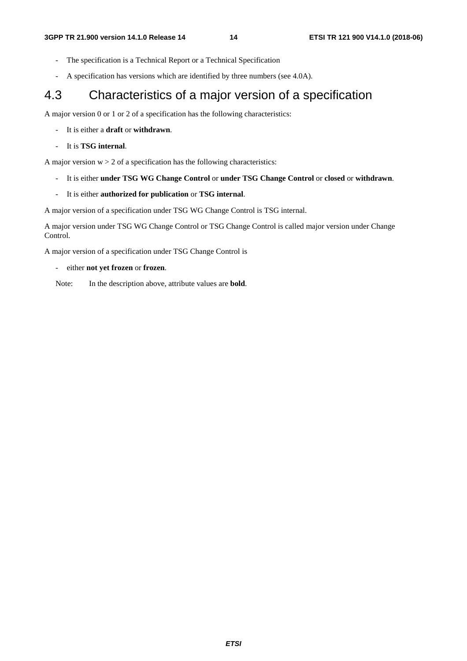- The specification is a Technical Report or a Technical Specification
- A specification has versions which are identified by three numbers (see 4.0A).

### 4.3 Characteristics of a major version of a specification

A major version 0 or 1 or 2 of a specification has the following characteristics:

- It is either a **draft** or **withdrawn**.
- It is **TSG internal**.

A major version  $w > 2$  of a specification has the following characteristics:

- It is either **under TSG WG Change Control** or **under TSG Change Control** or **closed** or **withdrawn**.
- It is either **authorized for publication** or **TSG internal**.

A major version of a specification under TSG WG Change Control is TSG internal.

A major version under TSG WG Change Control or TSG Change Control is called major version under Change Control.

A major version of a specification under TSG Change Control is

- either **not yet frozen** or **frozen**.

Note: In the description above, attribute values are **bold**.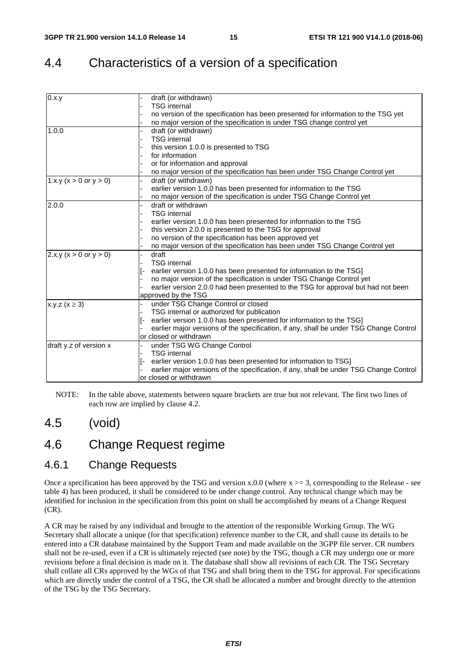# 4.4 Characteristics of a version of a specification

| 0.x.y                        | draft (or withdrawn)                                                                   |
|------------------------------|----------------------------------------------------------------------------------------|
|                              | <b>TSG</b> internal                                                                    |
|                              | no version of the specification has been presented for information to the TSG yet      |
|                              | no major version of the specification is under TSG change control yet                  |
| 1.0.0                        | draft (or withdrawn)                                                                   |
|                              | <b>TSG</b> internal                                                                    |
|                              | this version 1.0.0 is presented to TSG                                                 |
|                              | for information                                                                        |
|                              | or for information and approval                                                        |
|                              | no major version of the specification has been under TSG Change Control yet            |
| 1.x.y ( $x > 0$ or $y > 0$ ) | draft (or withdrawn)                                                                   |
|                              | earlier version 1.0.0 has been presented for information to the TSG                    |
|                              | no major version of the specification is under TSG Change Control yet                  |
| 2.0.0                        | draft or withdrawn                                                                     |
|                              | <b>TSG</b> internal                                                                    |
|                              | earlier version 1.0.0 has been presented for information to the TSG                    |
|                              | this version 2.0.0 is presented to the TSG for approval                                |
|                              | no version of the specification has been approved yet                                  |
|                              | no major version of the specification has been under TSG Change Control yet            |
| 2.x.y (x > 0 or y > 0)       | draft                                                                                  |
|                              | <b>TSG</b> internal                                                                    |
|                              | earlier version 1.0.0 has been presented for information to the TSG]                   |
|                              | no major version of the specification is under TSG Change Control yet                  |
|                              | earlier version 2.0.0 had been presented to the TSG for approval but had not been      |
|                              | approved by the TSG                                                                    |
| x.y.z ( $x \ge 3$ )          | under TSG Change Control or closed                                                     |
|                              | TSG internal or authorized for publication                                             |
|                              | earlier version 1.0.0 has been presented for information to the TSG]                   |
|                              | earlier major versions of the specification, if any, shall be under TSG Change Control |
|                              | or closed or withdrawn                                                                 |
| draft y.z of version x       | under TSG WG Change Control                                                            |
|                              | <b>TSG</b> internal                                                                    |
|                              | earlier version 1.0.0 has been presented for information to TSG]                       |
|                              | earlier major versions of the specification, if any, shall be under TSG Change Control |
|                              | or closed or withdrawn                                                                 |

NOTE: In the table above, statements between square brackets are true but not relevant. The first two lines of each row are implied by clause 4.2.

### 4.5 (void)

### 4.6 Change Request regime

### 4.6.1 Change Requests

Once a specification has been approved by the TSG and version  $x.0.0$  (where  $x \ge 3$ , corresponding to the Release - see table 4) has been produced, it shall be considered to be under change control. Any technical change which may be identified for inclusion in the specification from this point on shall be accomplished by means of a Change Request (CR).

A CR may be raised by any individual and brought to the attention of the responsible Working Group. The WG Secretary shall allocate a unique (for that specification) reference number to the CR, and shall cause its details to be entered into a CR database maintained by the Support Team and made available on the 3GPP file server. CR numbers shall not be re-used, even if a CR is ultimately rejected (see note) by the TSG, though a CR may undergo one or more revisions before a final decision is made on it. The database shall show all revisions of each CR. The TSG Secretary shall collate all CRs approved by the WGs of that TSG and shall bring them to the TSG for approval. For specifications which are directly under the control of a TSG, the CR shall be allocated a number and brought directly to the attention of the TSG by the TSG Secretary.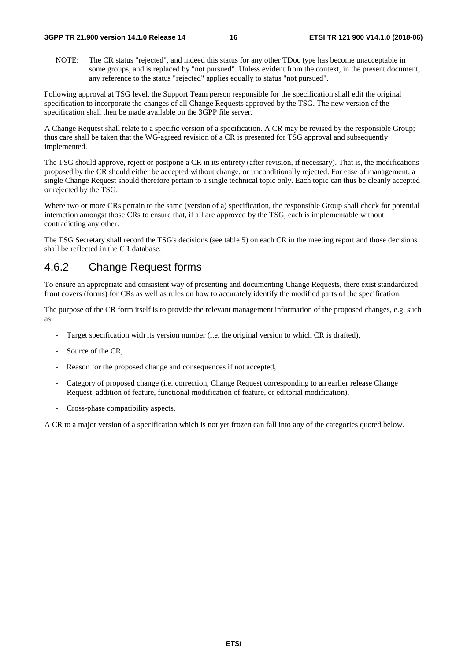NOTE: The CR status "rejected", and indeed this status for any other TDoc type has become unacceptable in some groups, and is replaced by "not pursued". Unless evident from the context, in the present document, any reference to the status "rejected" applies equally to status "not pursued".

Following approval at TSG level, the Support Team person responsible for the specification shall edit the original specification to incorporate the changes of all Change Requests approved by the TSG. The new version of the specification shall then be made available on the 3GPP file server.

A Change Request shall relate to a specific version of a specification. A CR may be revised by the responsible Group; thus care shall be taken that the WG-agreed revision of a CR is presented for TSG approval and subsequently implemented.

The TSG should approve, reject or postpone a CR in its entirety (after revision, if necessary). That is, the modifications proposed by the CR should either be accepted without change, or unconditionally rejected. For ease of management, a single Change Request should therefore pertain to a single technical topic only. Each topic can thus be cleanly accepted or rejected by the TSG.

Where two or more CRs pertain to the same (version of a) specification, the responsible Group shall check for potential interaction amongst those CRs to ensure that, if all are approved by the TSG, each is implementable without contradicting any other.

The TSG Secretary shall record the TSG's decisions (see table 5) on each CR in the meeting report and those decisions shall be reflected in the CR database.

### 4.6.2 Change Request forms

To ensure an appropriate and consistent way of presenting and documenting Change Requests, there exist standardized front covers (forms) for CRs as well as rules on how to accurately identify the modified parts of the specification.

The purpose of the CR form itself is to provide the relevant management information of the proposed changes, e.g. such as:

- Target specification with its version number (i.e. the original version to which CR is drafted),
- Source of the CR.
- Reason for the proposed change and consequences if not accepted,
- Category of proposed change (i.e. correction, Change Request corresponding to an earlier release Change Request, addition of feature, functional modification of feature, or editorial modification),
- Cross-phase compatibility aspects.

A CR to a major version of a specification which is not yet frozen can fall into any of the categories quoted below.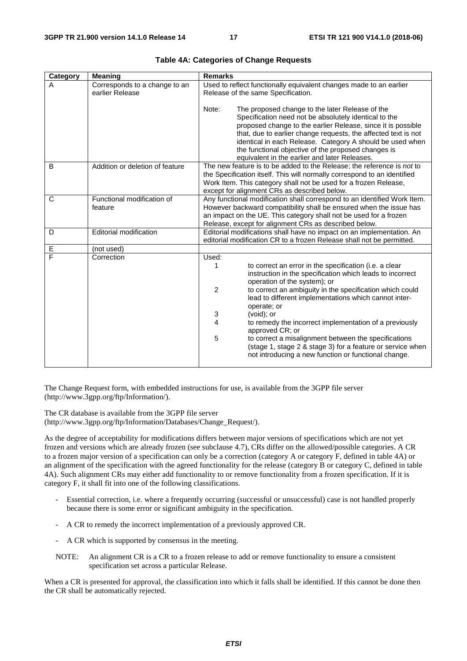| Category | <b>Meaning</b>                                   | <b>Remarks</b>                                                                                                                                                                                                                                                                                                                                                                                                                                                                                                                                                                                                  |
|----------|--------------------------------------------------|-----------------------------------------------------------------------------------------------------------------------------------------------------------------------------------------------------------------------------------------------------------------------------------------------------------------------------------------------------------------------------------------------------------------------------------------------------------------------------------------------------------------------------------------------------------------------------------------------------------------|
| A        | Corresponds to a change to an<br>earlier Release | Used to reflect functionally equivalent changes made to an earlier<br>Release of the same Specification.                                                                                                                                                                                                                                                                                                                                                                                                                                                                                                        |
|          |                                                  | Note:<br>The proposed change to the later Release of the<br>Specification need not be absolutely identical to the<br>proposed change to the earlier Release, since it is possible<br>that, due to earlier change requests, the affected text is not<br>identical in each Release. Category A should be used when<br>the functional objective of the proposed changes is<br>equivalent in the earlier and later Releases.                                                                                                                                                                                        |
| B        | Addition or deletion of feature                  | The new feature is to be added to the Release; the reference is not to<br>the Specification itself. This will normally correspond to an identified<br>Work Item. This category shall not be used for a frozen Release,<br>except for alignment CRs as described below.                                                                                                                                                                                                                                                                                                                                          |
| C        | Functional modification of<br>feature            | Any functional modification shall correspond to an identified Work Item.<br>However backward compatibility shall be ensured when the issue has<br>an impact on the UE. This category shall not be used for a frozen<br>Release, except for alignment CRs as described below.                                                                                                                                                                                                                                                                                                                                    |
| D        | <b>Editorial modification</b>                    | Editorial modifications shall have no impact on an implementation. An<br>editorial modification CR to a frozen Release shall not be permitted.                                                                                                                                                                                                                                                                                                                                                                                                                                                                  |
| Е        | (not used)                                       |                                                                                                                                                                                                                                                                                                                                                                                                                                                                                                                                                                                                                 |
| F        | Correction                                       | Used:<br>to correct an error in the specification (i.e. a clear<br>1<br>instruction in the specification which leads to incorrect<br>operation of the system); or<br>$\overline{2}$<br>to correct an ambiguity in the specification which could<br>lead to different implementations which cannot inter-<br>operate; or<br>3<br>(void); or<br>4<br>to remedy the incorrect implementation of a previously<br>approved CR; or<br>5<br>to correct a misalignment between the specifications<br>(stage 1, stage 2 & stage 3) for a feature or service when<br>not introducing a new function or functional change. |

The Change Request form, with embedded instructions for use, is available from the 3GPP file server (http://www.3gpp.org/ftp/Information/).

The CR database is available from the 3GPP file server (http://www.3gpp.org/ftp/Information/Databases/Change\_Request/).

As the degree of acceptability for modifications differs between major versions of specifications which are not yet frozen and versions which are already frozen (see subclause 4.7), CRs differ on the allowed/possible categories. A CR to a frozen major version of a specification can only be a correction (category A or category F, defined in table 4A) or an alignment of the specification with the agreed functionality for the release (category B or category C, defined in table 4A). Such alignment CRs may either add functionality to or remove functionality from a frozen specification. If it is category F, it shall fit into one of the following classifications.

- Essential correction, i.e. where a frequently occurring (successful or unsuccessful) case is not handled properly because there is some error or significant ambiguity in the specification.
- A CR to remedy the incorrect implementation of a previously approved CR.
- A CR which is supported by consensus in the meeting.
- NOTE: An alignment CR is a CR to a frozen release to add or remove functionality to ensure a consistent specification set across a particular Release.

When a CR is presented for approval, the classification into which it falls shall be identified. If this cannot be done then the CR shall be automatically rejected.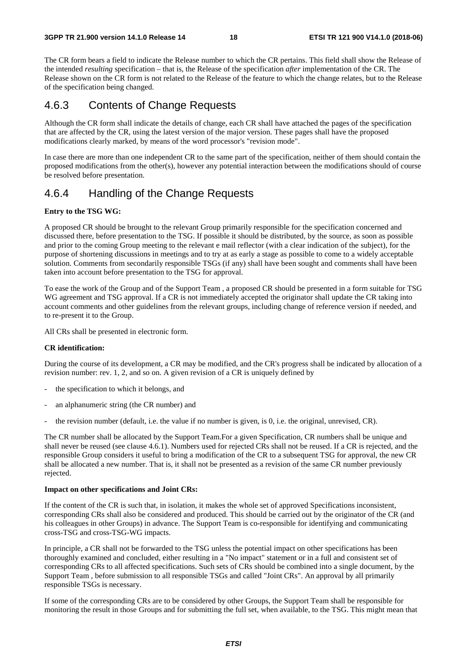The CR form bears a field to indicate the Release number to which the CR pertains. This field shall show the Release of the intended *resulting* specification – that is, the Release of the specification *after* implementation of the CR. The Release shown on the CR form is not related to the Release of the feature to which the change relates, but to the Release of the specification being changed.

### 4.6.3 Contents of Change Requests

Although the CR form shall indicate the details of change, each CR shall have attached the pages of the specification that are affected by the CR, using the latest version of the major version. These pages shall have the proposed modifications clearly marked, by means of the word processor's "revision mode".

In case there are more than one independent CR to the same part of the specification, neither of them should contain the proposed modifications from the other(s), however any potential interaction between the modifications should of course be resolved before presentation.

### 4.6.4 Handling of the Change Requests

#### **Entry to the TSG WG:**

A proposed CR should be brought to the relevant Group primarily responsible for the specification concerned and discussed there, before presentation to the TSG. If possible it should be distributed, by the source, as soon as possible and prior to the coming Group meeting to the relevant e mail reflector (with a clear indication of the subject), for the purpose of shortening discussions in meetings and to try at as early a stage as possible to come to a widely acceptable solution. Comments from secondarily responsible TSGs (if any) shall have been sought and comments shall have been taken into account before presentation to the TSG for approval.

To ease the work of the Group and of the Support Team , a proposed CR should be presented in a form suitable for TSG WG agreement and TSG approval. If a CR is not immediately accepted the originator shall update the CR taking into account comments and other guidelines from the relevant groups, including change of reference version if needed, and to re-present it to the Group.

All CRs shall be presented in electronic form.

#### **CR identification:**

During the course of its development, a CR may be modified, and the CR's progress shall be indicated by allocation of a revision number: rev. 1, 2, and so on. A given revision of a CR is uniquely defined by

- the specification to which it belongs, and
- an alphanumeric string (the CR number) and
- the revision number (default, i.e. the value if no number is given, is 0, i.e. the original, unrevised, CR).

The CR number shall be allocated by the Support Team.For a given Specification, CR numbers shall be unique and shall never be reused (see clause 4.6.1). Numbers used for rejected CRs shall not be reused. If a CR is rejected, and the responsible Group considers it useful to bring a modification of the CR to a subsequent TSG for approval, the new CR shall be allocated a new number. That is, it shall not be presented as a revision of the same CR number previously rejected.

#### **Impact on other specifications and Joint CRs:**

If the content of the CR is such that, in isolation, it makes the whole set of approved Specifications inconsistent, corresponding CRs shall also be considered and produced. This should be carried out by the originator of the CR (and his colleagues in other Groups) in advance. The Support Team is co-responsible for identifying and communicating cross-TSG and cross-TSG-WG impacts.

In principle, a CR shall not be forwarded to the TSG unless the potential impact on other specifications has been thoroughly examined and concluded, either resulting in a "No impact" statement or in a full and consistent set of corresponding CRs to all affected specifications. Such sets of CRs should be combined into a single document, by the Support Team , before submission to all responsible TSGs and called "Joint CRs". An approval by all primarily responsible TSGs is necessary.

If some of the corresponding CRs are to be considered by other Groups, the Support Team shall be responsible for monitoring the result in those Groups and for submitting the full set, when available, to the TSG. This might mean that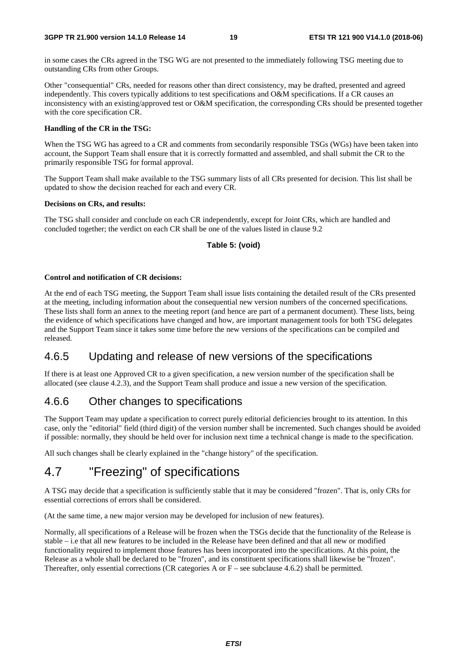in some cases the CRs agreed in the TSG WG are not presented to the immediately following TSG meeting due to outstanding CRs from other Groups.

Other "consequential" CRs, needed for reasons other than direct consistency, may be drafted, presented and agreed independently. This covers typically additions to test specifications and O&M specifications. If a CR causes an inconsistency with an existing/approved test or O&M specification, the corresponding CRs should be presented together with the core specification CR.

#### **Handling of the CR in the TSG:**

When the TSG WG has agreed to a CR and comments from secondarily responsible TSGs (WGs) have been taken into account, the Support Team shall ensure that it is correctly formatted and assembled, and shall submit the CR to the primarily responsible TSG for formal approval.

The Support Team shall make available to the TSG summary lists of all CRs presented for decision. This list shall be updated to show the decision reached for each and every CR.

#### **Decisions on CRs, and results:**

The TSG shall consider and conclude on each CR independently, except for Joint CRs, which are handled and concluded together; the verdict on each CR shall be one of the values listed in clause 9.2

#### **Table 5: (void)**

#### **Control and notification of CR decisions:**

At the end of each TSG meeting, the Support Team shall issue lists containing the detailed result of the CRs presented at the meeting, including information about the consequential new version numbers of the concerned specifications. These lists shall form an annex to the meeting report (and hence are part of a permanent document). These lists, being the evidence of which specifications have changed and how, are important management tools for both TSG delegates and the Support Team since it takes some time before the new versions of the specifications can be compiled and released.

### 4.6.5 Updating and release of new versions of the specifications

If there is at least one Approved CR to a given specification, a new version number of the specification shall be allocated (see clause 4.2.3), and the Support Team shall produce and issue a new version of the specification.

### 4.6.6 Other changes to specifications

The Support Team may update a specification to correct purely editorial deficiencies brought to its attention. In this case, only the "editorial" field (third digit) of the version number shall be incremented. Such changes should be avoided if possible: normally, they should be held over for inclusion next time a technical change is made to the specification.

All such changes shall be clearly explained in the "change history" of the specification.

### 4.7 "Freezing" of specifications

A TSG may decide that a specification is sufficiently stable that it may be considered "frozen". That is, only CRs for essential corrections of errors shall be considered.

(At the same time, a new major version may be developed for inclusion of new features).

Normally, all specifications of a Release will be frozen when the TSGs decide that the functionality of the Release is stable – i.e that all new features to be included in the Release have been defined and that all new or modified functionality required to implement those features has been incorporated into the specifications. At this point, the Release as a whole shall be declared to be "frozen", and its constituent specifications shall likewise be "frozen". Thereafter, only essential corrections (CR categories A or  $F$  – see subclause 4.6.2) shall be permitted.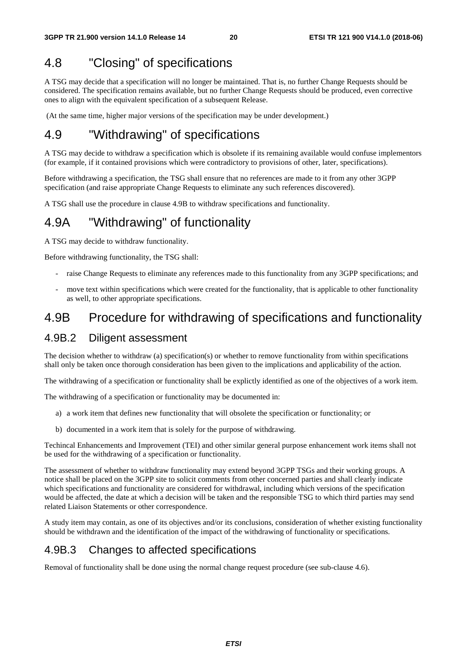# 4.8 "Closing" of specifications

A TSG may decide that a specification will no longer be maintained. That is, no further Change Requests should be considered. The specification remains available, but no further Change Requests should be produced, even corrective ones to align with the equivalent specification of a subsequent Release.

(At the same time, higher major versions of the specification may be under development.)

# 4.9 "Withdrawing" of specifications

A TSG may decide to withdraw a specification which is obsolete if its remaining available would confuse implementors (for example, if it contained provisions which were contradictory to provisions of other, later, specifications).

Before withdrawing a specification, the TSG shall ensure that no references are made to it from any other 3GPP specification (and raise appropriate Change Requests to eliminate any such references discovered).

A TSG shall use the procedure in clause 4.9B to withdraw specifications and functionality.

### 4.9A "Withdrawing" of functionality

A TSG may decide to withdraw functionality.

Before withdrawing functionality, the TSG shall:

- raise Change Requests to eliminate any references made to this functionality from any 3GPP specifications; and
- move text within specifications which were created for the functionality, that is applicable to other functionality as well, to other appropriate specifications.

### 4.9B Procedure for withdrawing of specifications and functionality

### 4.9B.2 Diligent assessment

The decision whether to withdraw (a) specification(s) or whether to remove functionality from within specifications shall only be taken once thorough consideration has been given to the implications and applicability of the action.

The withdrawing of a specification or functionality shall be explictly identified as one of the objectives of a work item.

The withdrawing of a specification or functionality may be documented in:

- a) a work item that defines new functionality that will obsolete the specification or functionality; or
- b) documented in a work item that is solely for the purpose of withdrawing.

Techincal Enhancements and Improvement (TEI) and other similar general purpose enhancement work items shall not be used for the withdrawing of a specification or functionality.

The assessment of whether to withdraw functionality may extend beyond 3GPP TSGs and their working groups. A notice shall be placed on the 3GPP site to solicit comments from other concerned parties and shall clearly indicate which specifications and functionality are considered for withdrawal, including which versions of the specification would be affected, the date at which a decision will be taken and the responsible TSG to which third parties may send related Liaison Statements or other correspondence.

A study item may contain, as one of its objectives and/or its conclusions, consideration of whether existing functionality should be withdrawn and the identification of the impact of the withdrawing of functionality or specifications.

### 4.9B.3 Changes to affected specifications

Removal of functionality shall be done using the normal change request procedure (see sub-clause 4.6).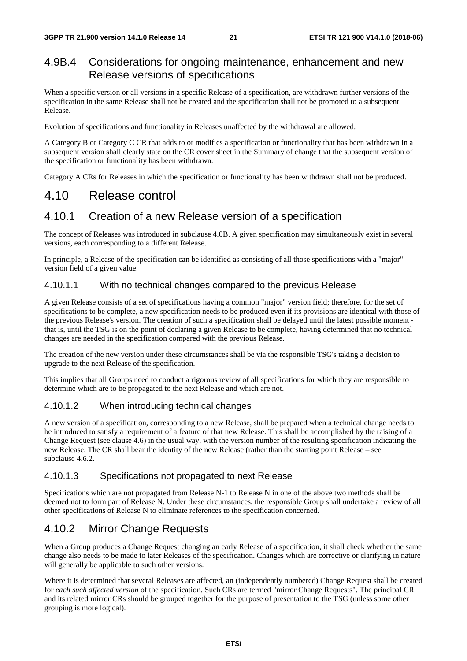### 4.9B.4 Considerations for ongoing maintenance, enhancement and new Release versions of specifications

When a specific version or all versions in a specific Release of a specification, are withdrawn further versions of the specification in the same Release shall not be created and the specification shall not be promoted to a subsequent Release.

Evolution of specifications and functionality in Releases unaffected by the withdrawal are allowed.

A Category B or Category C CR that adds to or modifies a specification or functionality that has been withdrawn in a subsequent version shall clearly state on the CR cover sheet in the Summary of change that the subsequent version of the specification or functionality has been withdrawn.

Category A CRs for Releases in which the specification or functionality has been withdrawn shall not be produced.

### 4.10 Release control

### 4.10.1 Creation of a new Release version of a specification

The concept of Releases was introduced in subclause 4.0B. A given specification may simultaneously exist in several versions, each corresponding to a different Release.

In principle, a Release of the specification can be identified as consisting of all those specifications with a "major" version field of a given value.

### 4.10.1.1 With no technical changes compared to the previous Release

A given Release consists of a set of specifications having a common "major" version field; therefore, for the set of specifications to be complete, a new specification needs to be produced even if its provisions are identical with those of the previous Release's version. The creation of such a specification shall be delayed until the latest possible moment that is, until the TSG is on the point of declaring a given Release to be complete, having determined that no technical changes are needed in the specification compared with the previous Release.

The creation of the new version under these circumstances shall be via the responsible TSG's taking a decision to upgrade to the next Release of the specification.

This implies that all Groups need to conduct a rigorous review of all specifications for which they are responsible to determine which are to be propagated to the next Release and which are not.

### 4.10.1.2 When introducing technical changes

A new version of a specification, corresponding to a new Release, shall be prepared when a technical change needs to be introduced to satisfy a requirement of a feature of that new Release. This shall be accomplished by the raising of a Change Request (see clause 4.6) in the usual way, with the version number of the resulting specification indicating the new Release. The CR shall bear the identity of the new Release (rather than the starting point Release – see subclause 4.6.2.

#### 4.10.1.3 Specifications not propagated to next Release

Specifications which are not propagated from Release N-1 to Release N in one of the above two methods shall be deemed not to form part of Release N. Under these circumstances, the responsible Group shall undertake a review of all other specifications of Release N to eliminate references to the specification concerned.

### 4.10.2 Mirror Change Requests

When a Group produces a Change Request changing an early Release of a specification, it shall check whether the same change also needs to be made to later Releases of the specification. Changes which are corrective or clarifying in nature will generally be applicable to such other versions.

Where it is determined that several Releases are affected, an (independently numbered) Change Request shall be created for *each such affected version* of the specification. Such CRs are termed "mirror Change Requests". The principal CR and its related mirror CRs should be grouped together for the purpose of presentation to the TSG (unless some other grouping is more logical).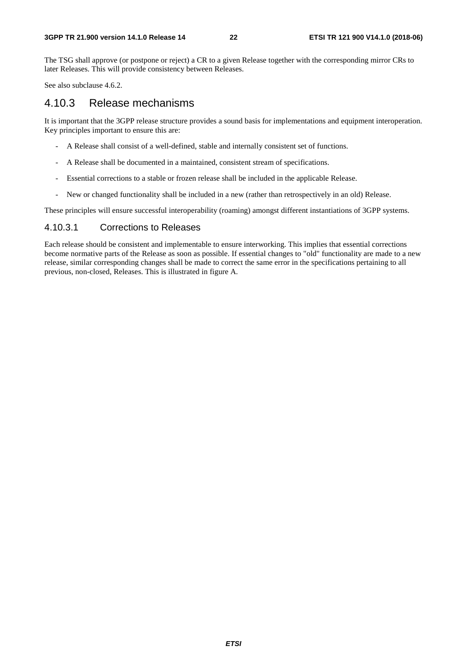The TSG shall approve (or postpone or reject) a CR to a given Release together with the corresponding mirror CRs to later Releases. This will provide consistency between Releases.

See also subclause 4.6.2.

### 4.10.3 Release mechanisms

It is important that the 3GPP release structure provides a sound basis for implementations and equipment interoperation. Key principles important to ensure this are:

- A Release shall consist of a well-defined, stable and internally consistent set of functions.
- A Release shall be documented in a maintained, consistent stream of specifications.
- Essential corrections to a stable or frozen release shall be included in the applicable Release.
- New or changed functionality shall be included in a new (rather than retrospectively in an old) Release.

These principles will ensure successful interoperability (roaming) amongst different instantiations of 3GPP systems.

#### 4.10.3.1 Corrections to Releases

Each release should be consistent and implementable to ensure interworking. This implies that essential corrections become normative parts of the Release as soon as possible. If essential changes to "old" functionality are made to a new release, similar corresponding changes shall be made to correct the same error in the specifications pertaining to all previous, non-closed, Releases. This is illustrated in figure A.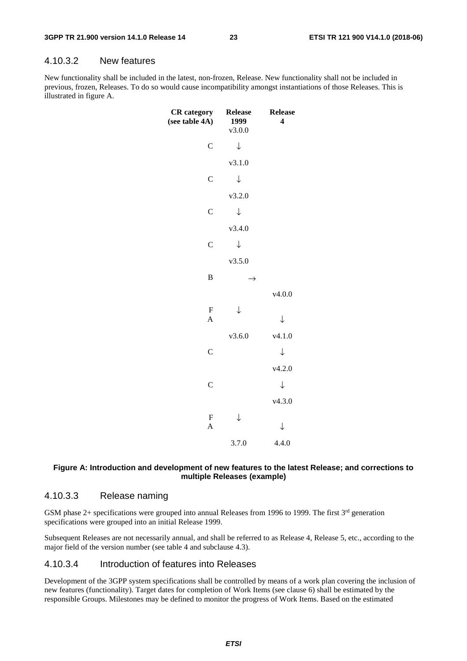#### 4.10.3.2 New features

New functionality shall be included in the latest, non-frozen, Release. New functionality shall not be included in previous, frozen, Releases. To do so would cause incompatibility amongst instantiations of those Releases. This is illustrated in figure A.

| <b>CR</b> category<br>(see table 4A) | <b>Release</b><br>1999<br>v3.0.0 | <b>Release</b><br>$\overline{\mathbf{4}}$ |
|--------------------------------------|----------------------------------|-------------------------------------------|
| $\mathbf C$                          | $\downarrow$                     |                                           |
|                                      | v3.1.0                           |                                           |
| $\mathcal{C}$                        | $\downarrow$                     |                                           |
|                                      | v3.2.0                           |                                           |
| $\mathsf{C}$                         | $\downarrow$                     |                                           |
|                                      | v3.4.0                           |                                           |
| $\mathbf C$                          | $\downarrow$                     |                                           |
|                                      | v3.5.0                           |                                           |
| $\bf{B}$                             | →                                |                                           |
|                                      |                                  | v4.0.0                                    |
| $\mathbf F$<br>$\overline{A}$        | $\downarrow$                     | $\downarrow$                              |
|                                      | v3.6.0                           | v4.1.0                                    |
| $\overline{C}$                       |                                  | $\downarrow$                              |
|                                      |                                  |                                           |
|                                      |                                  | v4.2.0                                    |
| $\mathsf{C}$                         |                                  | ↓                                         |
|                                      |                                  | v4.3.0                                    |
| ${\bf F}$<br>$\overline{A}$          | ↓                                | $\downarrow$                              |
|                                      | 3.7.0                            | 4.4.0                                     |

#### **Figure A: Introduction and development of new features to the latest Release; and corrections to multiple Releases (example)**

### 4.10.3.3 Release naming

GSM phase 2+ specifications were grouped into annual Releases from 1996 to 1999. The first  $3<sup>rd</sup>$  generation specifications were grouped into an initial Release 1999.

Subsequent Releases are not necessarily annual, and shall be referred to as Release 4, Release 5, etc., according to the major field of the version number (see table 4 and subclause 4.3).

#### 4.10.3.4 Introduction of features into Releases

Development of the 3GPP system specifications shall be controlled by means of a work plan covering the inclusion of new features (functionality). Target dates for completion of Work Items (see clause 6) shall be estimated by the responsible Groups. Milestones may be defined to monitor the progress of Work Items. Based on the estimated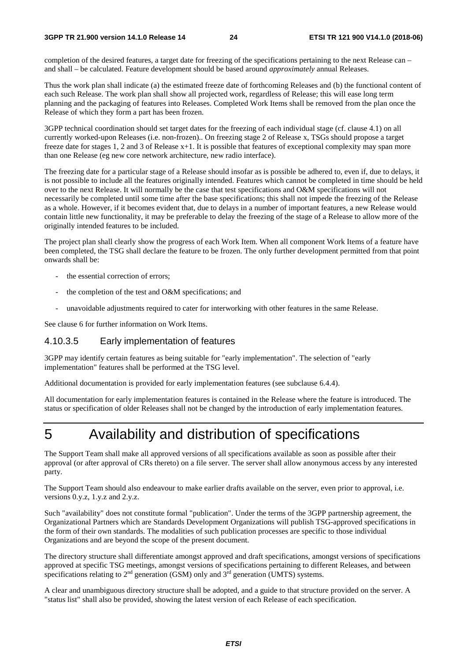#### **3GPP TR 21.900 version 14.1.0 Release 14 24 ETSI TR 121 900 V14.1.0 (2018-06)**

completion of the desired features, a target date for freezing of the specifications pertaining to the next Release can – and shall – be calculated. Feature development should be based around *approximately* annual Releases.

Thus the work plan shall indicate (a) the estimated freeze date of forthcoming Releases and (b) the functional content of each such Release. The work plan shall show all projected work, regardless of Release; this will ease long term planning and the packaging of features into Releases. Completed Work Items shall be removed from the plan once the Release of which they form a part has been frozen.

3GPP technical coordination should set target dates for the freezing of each individual stage (cf. clause 4.1) on all currently worked-upon Releases (i.e. non-frozen).. On freezing stage 2 of Release x, TSGs should propose a target freeze date for stages 1, 2 and 3 of Release x+1. It is possible that features of exceptional complexity may span more than one Release (eg new core network architecture, new radio interface).

The freezing date for a particular stage of a Release should insofar as is possible be adhered to, even if, due to delays, it is not possible to include all the features originally intended. Features which cannot be completed in time should be held over to the next Release. It will normally be the case that test specifications and O&M specifications will not necessarily be completed until some time after the base specifications; this shall not impede the freezing of the Release as a whole. However, if it becomes evident that, due to delays in a number of important features, a new Release would contain little new functionality, it may be preferable to delay the freezing of the stage of a Release to allow more of the originally intended features to be included.

The project plan shall clearly show the progress of each Work Item. When all component Work Items of a feature have been completed, the TSG shall declare the feature to be frozen. The only further development permitted from that point onwards shall be:

- the essential correction of errors;
- the completion of the test and O&M specifications; and
- unavoidable adjustments required to cater for interworking with other features in the same Release.

See clause 6 for further information on Work Items.

### 4.10.3.5 Early implementation of features

3GPP may identify certain features as being suitable for "early implementation". The selection of "early implementation" features shall be performed at the TSG level.

Additional documentation is provided for early implementation features (see subclause 6.4.4).

All documentation for early implementation features is contained in the Release where the feature is introduced. The status or specification of older Releases shall not be changed by the introduction of early implementation features.

# 5 Availability and distribution of specifications

The Support Team shall make all approved versions of all specifications available as soon as possible after their approval (or after approval of CRs thereto) on a file server. The server shall allow anonymous access by any interested party.

The Support Team should also endeavour to make earlier drafts available on the server, even prior to approval, i.e. versions 0.y.z, 1.y.z and 2.y.z.

Such "availability" does not constitute formal "publication". Under the terms of the 3GPP partnership agreement, the Organizational Partners which are Standards Development Organizations will publish TSG-approved specifications in the form of their own standards. The modalities of such publication processes are specific to those individual Organizations and are beyond the scope of the present document.

The directory structure shall differentiate amongst approved and draft specifications, amongst versions of specifications approved at specific TSG meetings, amongst versions of specifications pertaining to different Releases, and between specifications relating to  $2<sup>nd</sup>$  generation (GSM) only and  $3<sup>rd</sup>$  generation (UMTS) systems.

A clear and unambiguous directory structure shall be adopted, and a guide to that structure provided on the server. A "status list" shall also be provided, showing the latest version of each Release of each specification.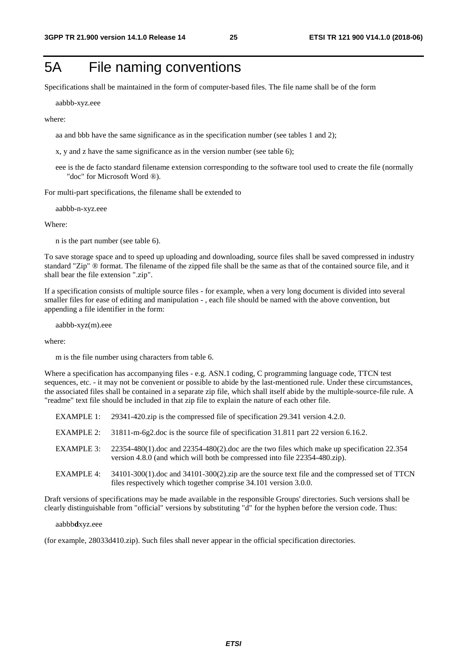# 5A File naming conventions

Specifications shall be maintained in the form of computer-based files. The file name shall be of the form

aabbb-xyz.eee

where:

aa and bbb have the same significance as in the specification number (see tables 1 and 2);

- x, y and z have the same significance as in the version number (see table 6);
- eee is the de facto standard filename extension corresponding to the software tool used to create the file (normally "doc" for Microsoft Word ®).

For multi-part specifications, the filename shall be extended to

aabbb-n-xyz.eee

Where:

n is the part number (see table 6).

To save storage space and to speed up uploading and downloading, source files shall be saved compressed in industry standard "Zip" ® format. The filename of the zipped file shall be the same as that of the contained source file, and it shall bear the file extension ".zip".

If a specification consists of multiple source files - for example, when a very long document is divided into several smaller files for ease of editing and manipulation - , each file should be named with the above convention, but appending a file identifier in the form:

aabbb-xyz(m).eee

where:

m is the file number using characters from table 6.

Where a specification has accompanying files - e.g. ASN.1 coding, C programming language code, TTCN test sequences, etc. - it may not be convenient or possible to abide by the last-mentioned rule. Under these circumstances, the associated files shall be contained in a separate zip file, which shall itself abide by the multiple-source-file rule. A "readme" text file should be included in that zip file to explain the nature of each other file.

|                   | EXAMPLE 1: 29341-420.zip is the compressed file of specification 29.341 version 4.2.0.                                                                                         |
|-------------------|--------------------------------------------------------------------------------------------------------------------------------------------------------------------------------|
| EXAMPLE 2:        | 31811-m-6g2.doc is the source file of specification 31.811 part 22 version 6.16.2.                                                                                             |
| EXAMPLE 3:        | $22354-480(1)$ doc and $22354-480(2)$ doc are the two files which make up specification $22.354$<br>version 4.8.0 (and which will both be compressed into file 22354-480.zip). |
| <b>EXAMPLE 4:</b> | $34101-300(1)$ .doc and $34101-300(2)$ .zip are the source text file and the compressed set of TTCN<br>files respectively which together comprise 34.101 version 3.0.0.        |

Draft versions of specifications may be made available in the responsible Groups' directories. Such versions shall be clearly distinguishable from "official" versions by substituting "d" for the hyphen before the version code. Thus:

aabbb**d**xyz.eee

(for example, 28033d410.zip). Such files shall never appear in the official specification directories.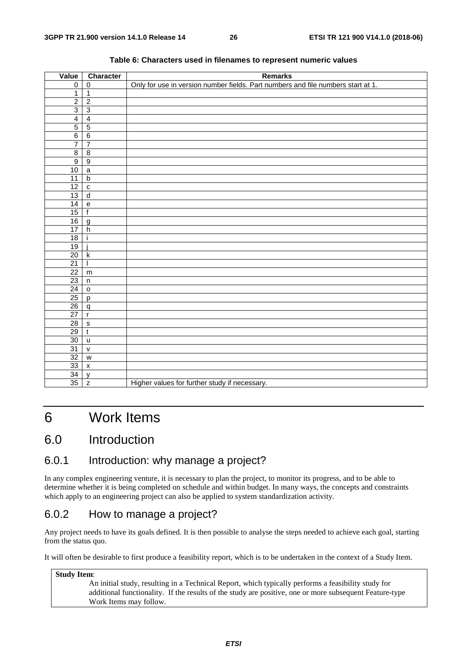| Value           | Character                                  | <b>Remarks</b>                                                                   |
|-----------------|--------------------------------------------|----------------------------------------------------------------------------------|
| $\pmb{0}$       | $\mathbf 0$                                | Only for use in version number fields. Part numbers and file numbers start at 1. |
| $\mathbf{1}$    | $\overline{1}$                             |                                                                                  |
| $\overline{2}$  | $\overline{2}$                             |                                                                                  |
| $\overline{3}$  | $\overline{3}$                             |                                                                                  |
| $\overline{4}$  | $\overline{4}$                             |                                                                                  |
| $\overline{5}$  | $\overline{5}$                             |                                                                                  |
| $\overline{6}$  | $\,6\,$                                    |                                                                                  |
| $\overline{7}$  | $\overline{7}$                             |                                                                                  |
| $\overline{8}$  | $\,8\,$                                    |                                                                                  |
| $\overline{9}$  | $\overline{9}$                             |                                                                                  |
| 10              | $\mathsf{a}$                               |                                                                                  |
| 11              | $\mathsf b$                                |                                                                                  |
| $\overline{12}$ | $\mathbf c$                                |                                                                                  |
| $\overline{13}$ | $\overline{d}$                             |                                                                                  |
| 14              | $\mathsf{e}% _{0}\left( \mathsf{e}\right)$ |                                                                                  |
| 15              | $\mathsf{f}$                               |                                                                                  |
| 16              | $\mathsf{g}$                               |                                                                                  |
| 17              | $\boldsymbol{\mathsf{h}}$                  |                                                                                  |
| 18              |                                            |                                                                                  |
| 19              |                                            |                                                                                  |
| 20              | $\sf k$                                    |                                                                                  |
| $\overline{21}$ |                                            |                                                                                  |
| $\overline{22}$ | ${\sf m}$                                  |                                                                                  |
| $\overline{23}$ | $\sf n$                                    |                                                                                  |
| 24              | $\mathsf{o}$                               |                                                                                  |
| $\overline{25}$ | p                                          |                                                                                  |
| 26              | $\mathsf{q}$                               |                                                                                  |
| 27              | $\mathbf{r}$                               |                                                                                  |
| 28              | $\mathsf{s}$                               |                                                                                  |
| 29              | $\mathsf{t}$                               |                                                                                  |
| $30\,$          | $\sf u$                                    |                                                                                  |
| 31              | $\mathsf{V}$                               |                                                                                  |
| 32              | ${\mathsf w}$                              |                                                                                  |
| 33              | $\pmb{\mathsf{x}}$                         |                                                                                  |
| $\overline{34}$ | V                                          |                                                                                  |
| 35              | $\mathsf{Z}$                               | Higher values for further study if necessary.                                    |

#### **Table 6: Characters used in filenames to represent numeric values**

# 6 Work Items

### 6.0 Introduction

### 6.0.1 Introduction: why manage a project?

In any complex engineering venture, it is necessary to plan the project, to monitor its progress, and to be able to determine whether it is being completed on schedule and within budget. In many ways, the concepts and constraints which apply to an engineering project can also be applied to system standardization activity.

### 6.0.2 How to manage a project?

Any project needs to have its goals defined. It is then possible to analyse the steps needed to achieve each goal, starting from the status quo.

It will often be desirable to first produce a feasibility report, which is to be undertaken in the context of a Study Item.

#### **Study Item**:

An initial study, resulting in a Technical Report, which typically performs a feasibility study for additional functionality. If the results of the study are positive, one or more subsequent Feature-type Work Items may follow.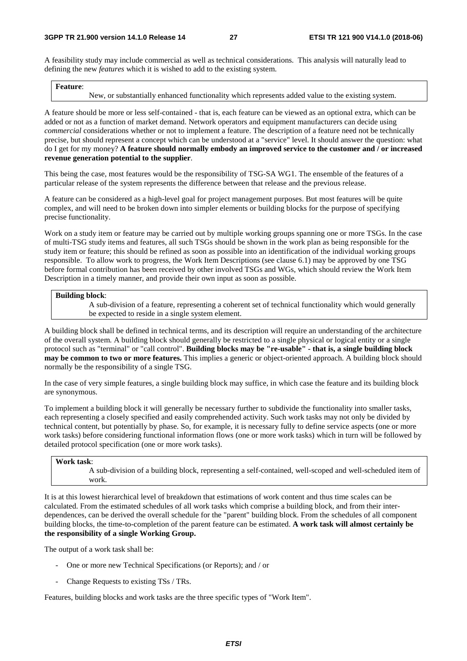A feasibility study may include commercial as well as technical considerations. This analysis will naturally lead to defining the new *features* which it is wished to add to the existing system.

#### **Feature**:

New, or substantially enhanced functionality which represents added value to the existing system.

A feature should be more or less self-contained - that is, each feature can be viewed as an optional extra, which can be added or not as a function of market demand. Network operators and equipment manufacturers can decide using *commercial* considerations whether or not to implement a feature. The description of a feature need not be technically precise, but should represent a concept which can be understood at a "service" level. It should answer the question: what do I get for my money? **A feature should normally embody an improved service to the customer and / or increased revenue generation potential to the supplier**.

This being the case, most features would be the responsibility of TSG-SA WG1. The ensemble of the features of a particular release of the system represents the difference between that release and the previous release.

A feature can be considered as a high-level goal for project management purposes. But most features will be quite complex, and will need to be broken down into simpler elements or building blocks for the purpose of specifying precise functionality.

Work on a study item or feature may be carried out by multiple working groups spanning one or more TSGs. In the case of multi-TSG study items and features, all such TSGs should be shown in the work plan as being responsible for the study item or feature; this should be refined as soon as possible into an identification of the individual working groups responsible. To allow work to progress, the Work Item Descriptions (see clause 6.1) may be approved by one TSG before formal contribution has been received by other involved TSGs and WGs, which should review the Work Item Description in a timely manner, and provide their own input as soon as possible.

#### **Building block**:

A sub-division of a feature, representing a coherent set of technical functionality which would generally be expected to reside in a single system element.

A building block shall be defined in technical terms, and its description will require an understanding of the architecture of the overall system. A building block should generally be restricted to a single physical or logical entity or a single protocol such as "terminal" or "call control". **Building blocks may be "re-usable" - that is, a single building block may be common to two or more features.** This implies a generic or object-oriented approach. A building block should normally be the responsibility of a single TSG.

In the case of very simple features, a single building block may suffice, in which case the feature and its building block are synonymous.

To implement a building block it will generally be necessary further to subdivide the functionality into smaller tasks, each representing a closely specified and easily comprehended activity. Such work tasks may not only be divided by technical content, but potentially by phase. So, for example, it is necessary fully to define service aspects (one or more work tasks) before considering functional information flows (one or more work tasks) which in turn will be followed by detailed protocol specification (one or more work tasks).

#### **Work task**:

A sub-division of a building block, representing a self-contained, well-scoped and well-scheduled item of work.

It is at this lowest hierarchical level of breakdown that estimations of work content and thus time scales can be calculated. From the estimated schedules of all work tasks which comprise a building block, and from their interdependences, can be derived the overall schedule for the "parent" building block. From the schedules of all component building blocks, the time-to-completion of the parent feature can be estimated. **A work task will almost certainly be the responsibility of a single Working Group.**

The output of a work task shall be:

- One or more new Technical Specifications (or Reports); and / or
- Change Requests to existing TSs / TRs.

Features, building blocks and work tasks are the three specific types of "Work Item".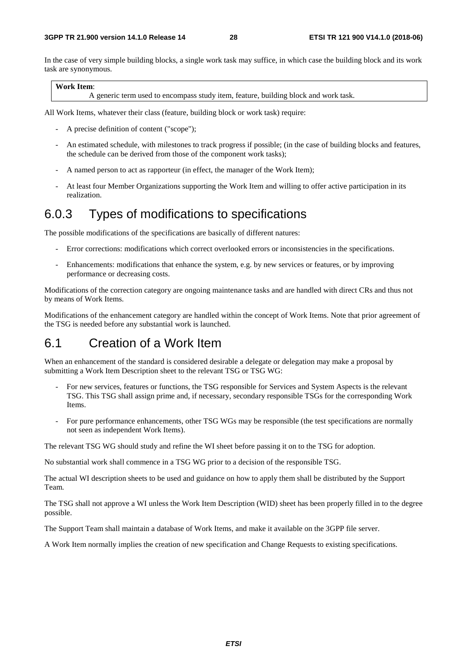In the case of very simple building blocks, a single work task may suffice, in which case the building block and its work task are synonymous.

#### **Work Item**:

A generic term used to encompass study item, feature, building block and work task.

All Work Items, whatever their class (feature, building block or work task) require:

- A precise definition of content ("scope");
- An estimated schedule, with milestones to track progress if possible; (in the case of building blocks and features, the schedule can be derived from those of the component work tasks);
- A named person to act as rapporteur (in effect, the manager of the Work Item);
- At least four Member Organizations supporting the Work Item and willing to offer active participation in its realization.

### 6.0.3 Types of modifications to specifications

The possible modifications of the specifications are basically of different natures:

- Error corrections: modifications which correct overlooked errors or inconsistencies in the specifications.
- Enhancements: modifications that enhance the system, e.g. by new services or features, or by improving performance or decreasing costs.

Modifications of the correction category are ongoing maintenance tasks and are handled with direct CRs and thus not by means of Work Items.

Modifications of the enhancement category are handled within the concept of Work Items. Note that prior agreement of the TSG is needed before any substantial work is launched.

# 6.1 Creation of a Work Item

When an enhancement of the standard is considered desirable a delegate or delegation may make a proposal by submitting a Work Item Description sheet to the relevant TSG or TSG WG:

- For new services, features or functions, the TSG responsible for Services and System Aspects is the relevant TSG. This TSG shall assign prime and, if necessary, secondary responsible TSGs for the corresponding Work Items.
- For pure performance enhancements, other TSG WGs may be responsible (the test specifications are normally not seen as independent Work Items).

The relevant TSG WG should study and refine the WI sheet before passing it on to the TSG for adoption.

No substantial work shall commence in a TSG WG prior to a decision of the responsible TSG.

The actual WI description sheets to be used and guidance on how to apply them shall be distributed by the Support Team.

The TSG shall not approve a WI unless the Work Item Description (WID) sheet has been properly filled in to the degree possible.

The Support Team shall maintain a database of Work Items, and make it available on the 3GPP file server.

A Work Item normally implies the creation of new specification and Change Requests to existing specifications.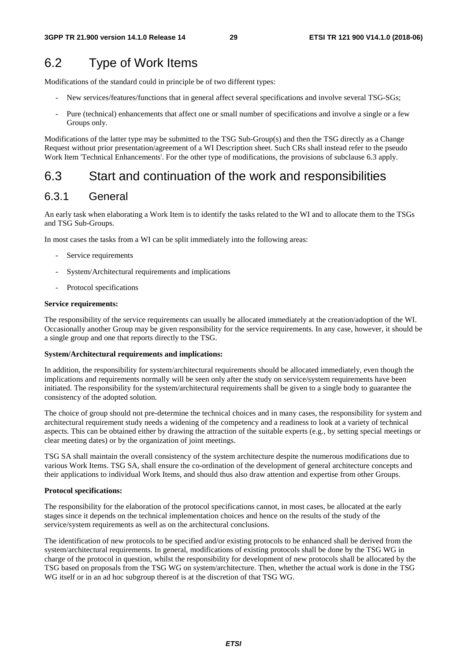# 6.2 Type of Work Items

Modifications of the standard could in principle be of two different types:

- New services/features/functions that in general affect several specifications and involve several TSG-SGs;
- Pure (technical) enhancements that affect one or small number of specifications and involve a single or a few Groups only.

Modifications of the latter type may be submitted to the TSG Sub-Group(s) and then the TSG directly as a Change Request without prior presentation/agreement of a WI Description sheet. Such CRs shall instead refer to the pseudo Work Item 'Technical Enhancements'. For the other type of modifications, the provisions of subclause 6.3 apply.

# 6.3 Start and continuation of the work and responsibilities

### 6.3.1 General

An early task when elaborating a Work Item is to identify the tasks related to the WI and to allocate them to the TSGs and TSG Sub-Groups.

In most cases the tasks from a WI can be split immediately into the following areas:

- Service requirements
- System/Architectural requirements and implications
- Protocol specifications

#### **Service requirements:**

The responsibility of the service requirements can usually be allocated immediately at the creation/adoption of the WI. Occasionally another Group may be given responsibility for the service requirements. In any case, however, it should be a single group and one that reports directly to the TSG.

#### **System/Architectural requirements and implications:**

In addition, the responsibility for system/architectural requirements should be allocated immediately, even though the implications and requirements normally will be seen only after the study on service/system requirements have been initiated. The responsibility for the system/architectural requirements shall be given to a single body to guarantee the consistency of the adopted solution.

The choice of group should not pre-determine the technical choices and in many cases, the responsibility for system and architectural requirement study needs a widening of the competency and a readiness to look at a variety of technical aspects. This can be obtained either by drawing the attraction of the suitable experts (e.g., by setting special meetings or clear meeting dates) or by the organization of joint meetings.

TSG SA shall maintain the overall consistency of the system architecture despite the numerous modifications due to various Work Items. TSG SA, shall ensure the co-ordination of the development of general architecture concepts and their applications to individual Work Items, and should thus also draw attention and expertise from other Groups.

#### **Protocol specifications:**

The responsibility for the elaboration of the protocol specifications cannot, in most cases, be allocated at the early stages since it depends on the technical implementation choices and hence on the results of the study of the service/system requirements as well as on the architectural conclusions.

The identification of new protocols to be specified and/or existing protocols to be enhanced shall be derived from the system/architectural requirements. In general, modifications of existing protocols shall be done by the TSG WG in charge of the protocol in question, whilst the responsibility for development of new protocols shall be allocated by the TSG based on proposals from the TSG WG on system/architecture. Then, whether the actual work is done in the TSG WG itself or in an ad hoc subgroup thereof is at the discretion of that TSG WG.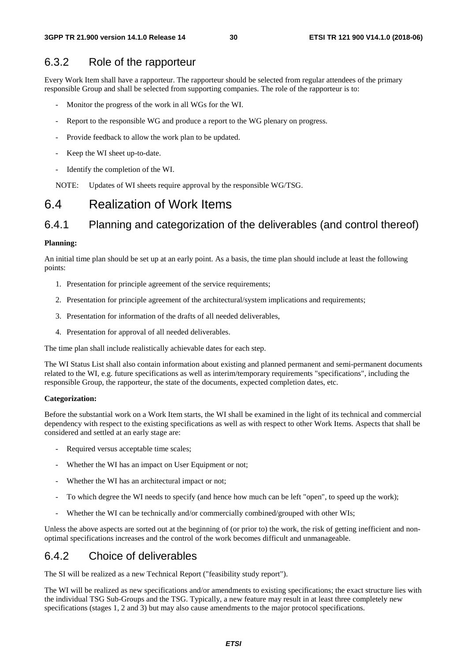### 6.3.2 Role of the rapporteur

Every Work Item shall have a rapporteur. The rapporteur should be selected from regular attendees of the primary responsible Group and shall be selected from supporting companies. The role of the rapporteur is to:

- Monitor the progress of the work in all WGs for the WI.
- Report to the responsible WG and produce a report to the WG plenary on progress.
- Provide feedback to allow the work plan to be updated.
- Keep the WI sheet up-to-date.
- Identify the completion of the WI.

NOTE: Updates of WI sheets require approval by the responsible WG/TSG.

### 6.4 Realization of Work Items

### 6.4.1 Planning and categorization of the deliverables (and control thereof)

#### **Planning:**

An initial time plan should be set up at an early point. As a basis, the time plan should include at least the following points:

- 1. Presentation for principle agreement of the service requirements;
- 2. Presentation for principle agreement of the architectural/system implications and requirements;
- 3. Presentation for information of the drafts of all needed deliverables,
- 4. Presentation for approval of all needed deliverables.

The time plan shall include realistically achievable dates for each step.

The WI Status List shall also contain information about existing and planned permanent and semi-permanent documents related to the WI, e.g. future specifications as well as interim/temporary requirements "specifications", including the responsible Group, the rapporteur, the state of the documents, expected completion dates, etc.

#### **Categorization:**

Before the substantial work on a Work Item starts, the WI shall be examined in the light of its technical and commercial dependency with respect to the existing specifications as well as with respect to other Work Items. Aspects that shall be considered and settled at an early stage are:

- Required versus acceptable time scales;
- Whether the WI has an impact on User Equipment or not;
- Whether the WI has an architectural impact or not;
- To which degree the WI needs to specify (and hence how much can be left "open", to speed up the work);
- Whether the WI can be technically and/or commercially combined/grouped with other WIs;

Unless the above aspects are sorted out at the beginning of (or prior to) the work, the risk of getting inefficient and nonoptimal specifications increases and the control of the work becomes difficult and unmanageable.

### 6.4.2 Choice of deliverables

The SI will be realized as a new Technical Report ("feasibility study report").

The WI will be realized as new specifications and/or amendments to existing specifications; the exact structure lies with the individual TSG Sub-Groups and the TSG. Typically, a new feature may result in at least three completely new specifications (stages 1, 2 and 3) but may also cause amendments to the major protocol specifications.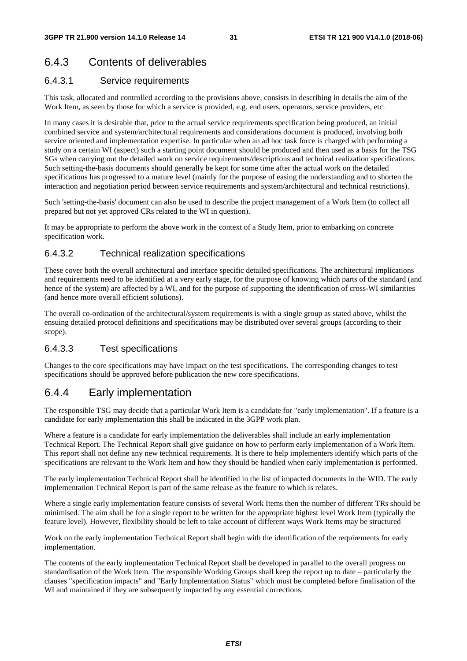### 6.4.3 Contents of deliverables

### 6.4.3.1 Service requirements

This task, allocated and controlled according to the provisions above, consists in describing in details the aim of the Work Item, as seen by those for which a service is provided, e.g. end users, operators, service providers, etc.

In many cases it is desirable that, prior to the actual service requirements specification being produced, an initial combined service and system/architectural requirements and considerations document is produced, involving both service oriented and implementation expertise. In particular when an ad hoc task force is charged with performing a study on a certain WI (aspect) such a starting point document should be produced and then used as a basis for the TSG SGs when carrying out the detailed work on service requirements/descriptions and technical realization specifications. Such setting-the-basis documents should generally be kept for some time after the actual work on the detailed specifications has progressed to a mature level (mainly for the purpose of easing the understanding and to shorten the interaction and negotiation period between service requirements and system/architectural and technical restrictions).

Such 'setting-the-basis' document can also be used to describe the project management of a Work Item (to collect all prepared but not yet approved CRs related to the WI in question).

It may be appropriate to perform the above work in the context of a Study Item, prior to embarking on concrete specification work.

### 6.4.3.2 Technical realization specifications

These cover both the overall architectural and interface specific detailed specifications. The architectural implications and requirements need to be identified at a very early stage, for the purpose of knowing which parts of the standard (and hence of the system) are affected by a WI, and for the purpose of supporting the identification of cross-WI similarities (and hence more overall efficient solutions).

The overall co-ordination of the architectural/system requirements is with a single group as stated above, whilst the ensuing detailed protocol definitions and specifications may be distributed over several groups (according to their scope).

### 6.4.3.3 Test specifications

Changes to the core specifications may have impact on the test specifications. The corresponding changes to test specifications should be approved before publication the new core specifications.

### 6.4.4 Early implementation

The responsible TSG may decide that a particular Work Item is a candidate for "early implementation". If a feature is a candidate for early implementation this shall be indicated in the 3GPP work plan.

Where a feature is a candidate for early implementation the deliverables shall include an early implementation Technical Report. The Technical Report shall give guidance on how to perform early implementation of a Work Item. This report shall not define any new technical requirements. It is there to help implementers identify which parts of the specifications are relevant to the Work Item and how they should be handled when early implementation is performed.

The early implementation Technical Report shall be identified in the list of impacted documents in the WID. The early implementation Technical Report is part of the same release as the feature to which is relates.

Where a single early implementation feature consists of several Work Items then the number of different TRs should be minimised. The aim shall be for a single report to be written for the appropriate highest level Work Item (typically the feature level). However, flexibility should be left to take account of different ways Work Items may be structured

Work on the early implementation Technical Report shall begin with the identification of the requirements for early implementation.

The contents of the early implementation Technical Report shall be developed in parallel to the overall progress on standardisation of the Work Item. The responsible Working Groups shall keep the report up to date – particularly the clauses "specification impacts" and "Early Implementation Status" which must be completed before finalisation of the WI and maintained if they are subsequently impacted by any essential corrections.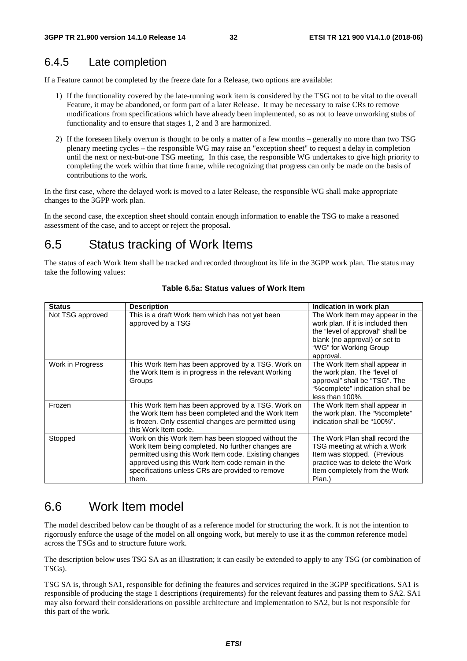### 6.4.5 Late completion

If a Feature cannot be completed by the freeze date for a Release, two options are available:

- 1) If the functionality covered by the late-running work item is considered by the TSG not to be vital to the overall Feature, it may be abandoned, or form part of a later Release. It may be necessary to raise CRs to remove modifications from specifications which have already been implemented, so as not to leave unworking stubs of functionality and to ensure that stages 1, 2 and 3 are harmonized.
- 2) If the foreseen likely overrun is thought to be only a matter of a few months generally no more than two TSG plenary meeting cycles – the responsible WG may raise an "exception sheet" to request a delay in completion until the next or next-but-one TSG meeting. In this case, the responsible WG undertakes to give high priority to completing the work within that time frame, while recognizing that progress can only be made on the basis of contributions to the work.

In the first case, where the delayed work is moved to a later Release, the responsible WG shall make appropriate changes to the 3GPP work plan.

In the second case, the exception sheet should contain enough information to enable the TSG to make a reasoned assessment of the case, and to accept or reject the proposal.

# 6.5 Status tracking of Work Items

The status of each Work Item shall be tracked and recorded throughout its life in the 3GPP work plan. The status may take the following values:

| <b>Status</b>    | <b>Description</b>                                                                                                                                                                                                                                                                 | Indication in work plan                                                                                                                                                          |
|------------------|------------------------------------------------------------------------------------------------------------------------------------------------------------------------------------------------------------------------------------------------------------------------------------|----------------------------------------------------------------------------------------------------------------------------------------------------------------------------------|
| Not TSG approved | This is a draft Work Item which has not yet been<br>approved by a TSG                                                                                                                                                                                                              | The Work Item may appear in the<br>work plan. If it is included then<br>the "level of approval" shall be<br>blank (no approval) or set to<br>"WG" for Working Group<br>approval. |
| Work in Progress | This Work Item has been approved by a TSG. Work on<br>the Work Item is in progress in the relevant Working<br>Groups                                                                                                                                                               | The Work Item shall appear in<br>the work plan. The "level of<br>approval" shall be "TSG". The<br>"%complete" indication shall be<br>less than 100%.                             |
| Frozen           | This Work Item has been approved by a TSG. Work on<br>the Work Item has been completed and the Work Item<br>is frozen. Only essential changes are permitted using<br>this Work Item code.                                                                                          | The Work Item shall appear in<br>the work plan. The "%complete"<br>indication shall be "100%".                                                                                   |
| Stopped          | Work on this Work Item has been stopped without the<br>Work Item being completed. No further changes are<br>permitted using this Work Item code. Existing changes<br>approved using this Work Item code remain in the<br>specifications unless CRs are provided to remove<br>them. | The Work Plan shall record the<br>TSG meeting at which a Work<br>Item was stopped. (Previous<br>practice was to delete the Work<br>Item completely from the Work<br>Plan.)       |

#### **Table 6.5a: Status values of Work Item**

### 6.6 Work Item model

The model described below can be thought of as a reference model for structuring the work. It is not the intention to rigorously enforce the usage of the model on all ongoing work, but merely to use it as the common reference model across the TSGs and to structure future work.

The description below uses TSG SA as an illustration; it can easily be extended to apply to any TSG (or combination of TSGs).

TSG SA is, through SA1, responsible for defining the features and services required in the 3GPP specifications. SA1 is responsible of producing the stage 1 descriptions (requirements) for the relevant features and passing them to SA2. SA1 may also forward their considerations on possible architecture and implementation to SA2, but is not responsible for this part of the work.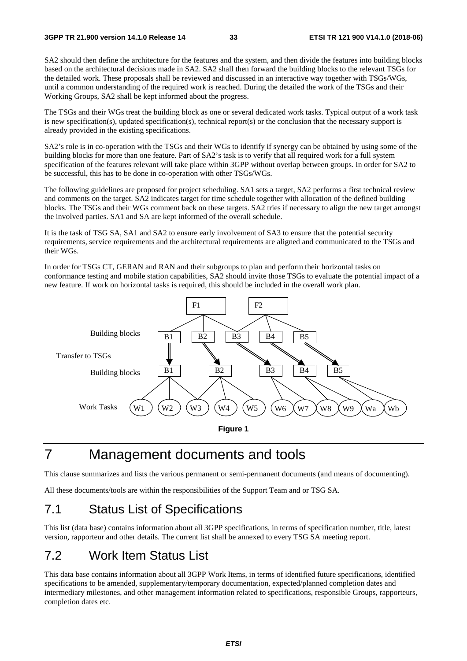SA2 should then define the architecture for the features and the system, and then divide the features into building blocks based on the architectural decisions made in SA2. SA2 shall then forward the building blocks to the relevant TSGs for the detailed work. These proposals shall be reviewed and discussed in an interactive way together with TSGs/WGs, until a common understanding of the required work is reached. During the detailed the work of the TSGs and their Working Groups, SA2 shall be kept informed about the progress.

The TSGs and their WGs treat the building block as one or several dedicated work tasks. Typical output of a work task is new specification(s), updated specification(s), technical report(s) or the conclusion that the necessary support is already provided in the existing specifications.

SA2's role is in co-operation with the TSGs and their WGs to identify if synergy can be obtained by using some of the building blocks for more than one feature. Part of SA2's task is to verify that all required work for a full system specification of the features relevant will take place within 3GPP without overlap between groups. In order for SA2 to be successful, this has to be done in co-operation with other TSGs/WGs.

The following guidelines are proposed for project scheduling. SA1 sets a target, SA2 performs a first technical review and comments on the target. SA2 indicates target for time schedule together with allocation of the defined building blocks. The TSGs and their WGs comment back on these targets. SA2 tries if necessary to align the new target amongst the involved parties. SA1 and SA are kept informed of the overall schedule.

It is the task of TSG SA, SA1 and SA2 to ensure early involvement of SA3 to ensure that the potential security requirements, service requirements and the architectural requirements are aligned and communicated to the TSGs and their WGs.

In order for TSGs CT, GERAN and RAN and their subgroups to plan and perform their horizontal tasks on conformance testing and mobile station capabilities, SA2 should invite those TSGs to evaluate the potential impact of a new feature. If work on horizontal tasks is required, this should be included in the overall work plan.



# 7 Management documents and tools

This clause summarizes and lists the various permanent or semi-permanent documents (and means of documenting).

All these documents/tools are within the responsibilities of the Support Team and or TSG SA.

# 7.1 Status List of Specifications

This list (data base) contains information about all 3GPP specifications, in terms of specification number, title, latest version, rapporteur and other details. The current list shall be annexed to every TSG SA meeting report.

### 7.2 Work Item Status List

This data base contains information about all 3GPP Work Items, in terms of identified future specifications, identified specifications to be amended, supplementary/temporary documentation, expected/planned completion dates and intermediary milestones, and other management information related to specifications, responsible Groups, rapporteurs, completion dates etc.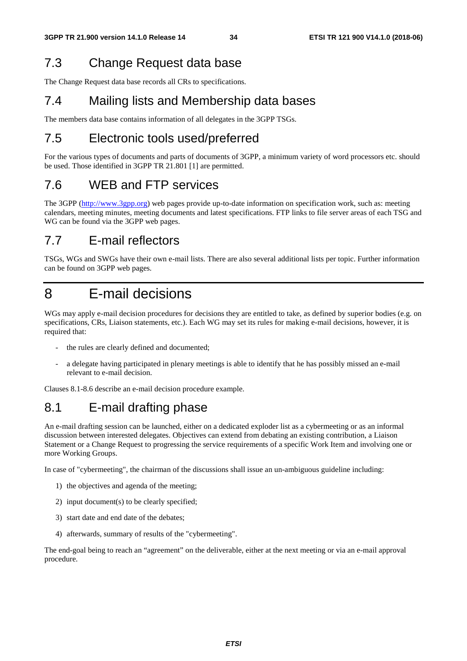# 7.3 Change Request data base

The Change Request data base records all CRs to specifications.

# 7.4 Mailing lists and Membership data bases

The members data base contains information of all delegates in the 3GPP TSGs.

# 7.5 Electronic tools used/preferred

For the various types of documents and parts of documents of 3GPP, a minimum variety of word processors etc. should be used. Those identified in 3GPP TR 21.801 [1] are permitted.

# 7.6 WEB and FTP services

The 3GPP (http://www.3gpp.org) web pages provide up-to-date information on specification work, such as: meeting calendars, meeting minutes, meeting documents and latest specifications. FTP links to file server areas of each TSG and WG can be found via the 3GPP web pages.

# 7.7 E-mail reflectors

TSGs, WGs and SWGs have their own e-mail lists. There are also several additional lists per topic. Further information can be found on 3GPP web pages.

# 8 E-mail decisions

WGs may apply e-mail decision procedures for decisions they are entitled to take, as defined by superior bodies (e.g. on specifications, CRs, Liaison statements, etc.). Each WG may set its rules for making e-mail decisions, however, it is required that:

- the rules are clearly defined and documented;
- a delegate having participated in plenary meetings is able to identify that he has possibly missed an e-mail relevant to e-mail decision.

Clauses 8.1-8.6 describe an e-mail decision procedure example.

# 8.1 E-mail drafting phase

An e-mail drafting session can be launched, either on a dedicated exploder list as a cybermeeting or as an informal discussion between interested delegates. Objectives can extend from debating an existing contribution, a Liaison Statement or a Change Request to progressing the service requirements of a specific Work Item and involving one or more Working Groups.

In case of "cybermeeting", the chairman of the discussions shall issue an un-ambiguous guideline including:

- 1) the objectives and agenda of the meeting;
- 2) input document(s) to be clearly specified;
- 3) start date and end date of the debates;
- 4) afterwards, summary of results of the "cybermeeting".

The end-goal being to reach an "agreement" on the deliverable, either at the next meeting or via an e-mail approval procedure.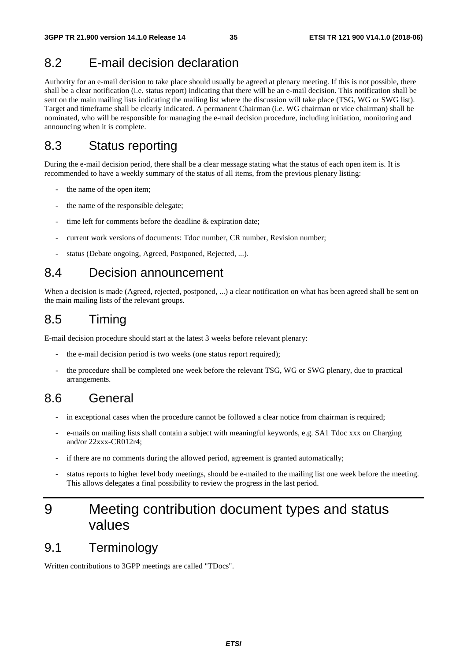## 8.2 E-mail decision declaration

Authority for an e-mail decision to take place should usually be agreed at plenary meeting. If this is not possible, there shall be a clear notification (i.e. status report) indicating that there will be an e-mail decision. This notification shall be sent on the main mailing lists indicating the mailing list where the discussion will take place (TSG, WG or SWG list). Target and timeframe shall be clearly indicated. A permanent Chairman (i.e. WG chairman or vice chairman) shall be nominated, who will be responsible for managing the e-mail decision procedure, including initiation, monitoring and announcing when it is complete.

### 8.3 Status reporting

During the e-mail decision period, there shall be a clear message stating what the status of each open item is. It is recommended to have a weekly summary of the status of all items, from the previous plenary listing:

- the name of the open item:
- the name of the responsible delegate;
- time left for comments before the deadline  $&$  expiration date;
- current work versions of documents: Tdoc number, CR number, Revision number;
- status (Debate ongoing, Agreed, Postponed, Rejected, ...).

### 8.4 Decision announcement

When a decision is made (Agreed, rejected, postponed, ...) a clear notification on what has been agreed shall be sent on the main mailing lists of the relevant groups.

# 8.5 Timing

E-mail decision procedure should start at the latest 3 weeks before relevant plenary:

- the e-mail decision period is two weeks (one status report required);
- the procedure shall be completed one week before the relevant TSG, WG or SWG plenary, due to practical arrangements.

### 8.6 General

- in exceptional cases when the procedure cannot be followed a clear notice from chairman is required;
- e-mails on mailing lists shall contain a subject with meaningful keywords, e.g. SA1 Tdoc xxx on Charging and/or 22xxx-CR012r4;
- if there are no comments during the allowed period, agreement is granted automatically;
- status reports to higher level body meetings, should be e-mailed to the mailing list one week before the meeting. This allows delegates a final possibility to review the progress in the last period.

# 9 Meeting contribution document types and status values

### 9.1 Terminology

Written contributions to 3GPP meetings are called "TDocs".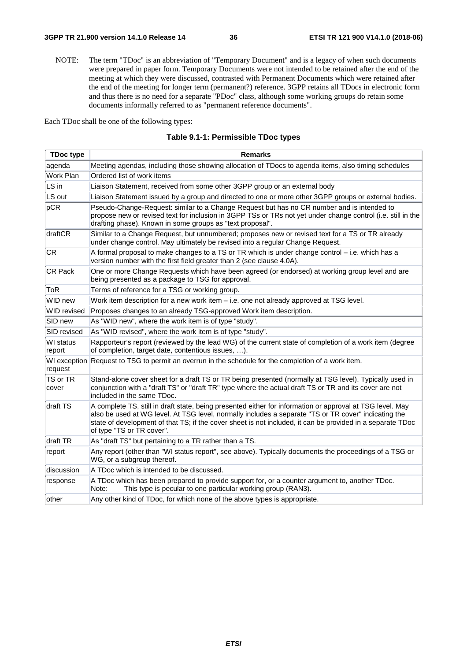NOTE: The term "TDoc" is an abbreviation of "Temporary Document" and is a legacy of when such documents were prepared in paper form. Temporary Documents were not intended to be retained after the end of the meeting at which they were discussed, contrasted with Permanent Documents which were retained after the end of the meeting for longer term (permanent?) reference. 3GPP retains all TDocs in electronic form and thus there is no need for a separate "PDoc" class, although some working groups do retain some documents informally referred to as "permanent reference documents".

Each TDoc shall be one of the following types:

| <b>TDoc type</b>    | <b>Remarks</b>                                                                                                                                                                                                                                                                                                                                               |  |  |  |  |
|---------------------|--------------------------------------------------------------------------------------------------------------------------------------------------------------------------------------------------------------------------------------------------------------------------------------------------------------------------------------------------------------|--|--|--|--|
| agenda              | Meeting agendas, including those showing allocation of TDocs to agenda items, also timing schedules                                                                                                                                                                                                                                                          |  |  |  |  |
| Work Plan           | Ordered list of work items                                                                                                                                                                                                                                                                                                                                   |  |  |  |  |
| LS in               | Liaison Statement, received from some other 3GPP group or an external body                                                                                                                                                                                                                                                                                   |  |  |  |  |
| LS out              | Liaison Statement issued by a group and directed to one or more other 3GPP groups or external bodies.                                                                                                                                                                                                                                                        |  |  |  |  |
| pCR                 | Pseudo-Change-Request: similar to a Change Request but has no CR number and is intended to<br>propose new or revised text for inclusion in 3GPP TSs or TRs not yet under change control (i.e. still in the<br>drafting phase). Known in some groups as "text proposal".                                                                                      |  |  |  |  |
| draftCR             | Similar to a Change Request, but unnumbered; proposes new or revised text for a TS or TR already<br>under change control. May ultimately be revised into a regular Change Request.                                                                                                                                                                           |  |  |  |  |
| CR                  | A formal proposal to make changes to a TS or TR which is under change control - i.e. which has a<br>version number with the first field greater than 2 (see clause 4.0A).                                                                                                                                                                                    |  |  |  |  |
| CR Pack             | One or more Change Requests which have been agreed (or endorsed) at working group level and are<br>being presented as a package to TSG for approval.                                                                                                                                                                                                         |  |  |  |  |
| ToR                 | Terms of reference for a TSG or working group.                                                                                                                                                                                                                                                                                                               |  |  |  |  |
| WID new             | Work item description for a new work item - i.e. one not already approved at TSG level.                                                                                                                                                                                                                                                                      |  |  |  |  |
| <b>WID</b> revised  | Proposes changes to an already TSG-approved Work item description.                                                                                                                                                                                                                                                                                           |  |  |  |  |
| SID new             | As "WID new", where the work item is of type "study".                                                                                                                                                                                                                                                                                                        |  |  |  |  |
| SID revised         | As "WID revised", where the work item is of type "study".                                                                                                                                                                                                                                                                                                    |  |  |  |  |
| WI status<br>report | Rapporteur's report (reviewed by the lead WG) of the current state of completion of a work item (degree<br>of completion, target date, contentious issues, ).                                                                                                                                                                                                |  |  |  |  |
| request             | WI exception Request to TSG to permit an overrun in the schedule for the completion of a work item.                                                                                                                                                                                                                                                          |  |  |  |  |
| TS or TR<br>cover   | Stand-alone cover sheet for a draft TS or TR being presented (normally at TSG level). Typically used in<br>conjunction with a "draft TS" or "draft TR" type where the actual draft TS or TR and its cover are not<br>included in the same TDoc.                                                                                                              |  |  |  |  |
| draft TS            | A complete TS, still in draft state, being presented either for information or approval at TSG level. May<br>also be used at WG level. At TSG level, normally includes a separate "TS or TR cover" indicating the<br>state of development of that TS; if the cover sheet is not included, it can be provided in a separate TDoc<br>of type "TS or TR cover". |  |  |  |  |
| draft TR            | As "draft TS" but pertaining to a TR rather than a TS.                                                                                                                                                                                                                                                                                                       |  |  |  |  |
| report              | Any report (other than "WI status report", see above). Typically documents the proceedings of a TSG or<br>WG, or a subgroup thereof.                                                                                                                                                                                                                         |  |  |  |  |
| discussion          | A TDoc which is intended to be discussed.                                                                                                                                                                                                                                                                                                                    |  |  |  |  |
| response            | A TDoc which has been prepared to provide support for, or a counter argument to, another TDoc.<br>Note:<br>This type is pecular to one particular working group (RAN3).                                                                                                                                                                                      |  |  |  |  |
| other               | Any other kind of TDoc, for which none of the above types is appropriate.                                                                                                                                                                                                                                                                                    |  |  |  |  |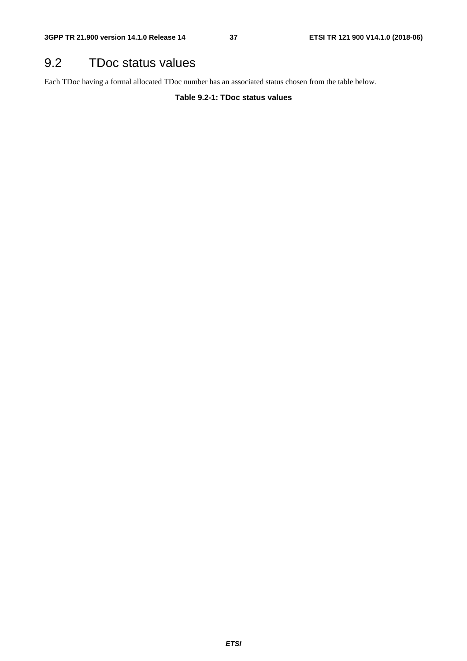# 9.2 TDoc status values

Each TDoc having a formal allocated TDoc number has an associated status chosen from the table below.

**Table 9.2-1: TDoc status values**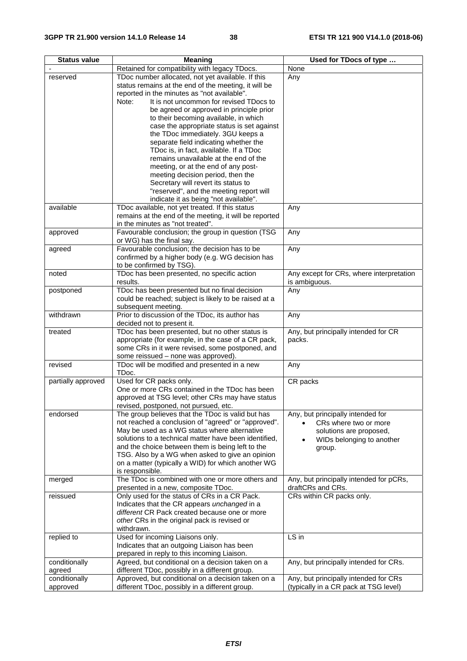| <b>Status value</b> | <b>Meaning</b>                                         | Used for TDocs of type                   |
|---------------------|--------------------------------------------------------|------------------------------------------|
|                     | Retained for compatibility with legacy TDocs.          | None                                     |
| reserved            | TDoc number allocated, not yet available. If this      | Any                                      |
|                     | status remains at the end of the meeting, it will be   |                                          |
|                     | reported in the minutes as "not available".            |                                          |
|                     | Note:<br>It is not uncommon for revised TDocs to       |                                          |
|                     | be agreed or approved in principle prior               |                                          |
|                     | to their becoming available, in which                  |                                          |
|                     | case the appropriate status is set against             |                                          |
|                     | the TDoc immediately. 3GU keeps a                      |                                          |
|                     | separate field indicating whether the                  |                                          |
|                     | TDoc is, in fact, available. If a TDoc                 |                                          |
|                     | remains unavailable at the end of the                  |                                          |
|                     | meeting, or at the end of any post-                    |                                          |
|                     | meeting decision period, then the                      |                                          |
|                     | Secretary will revert its status to                    |                                          |
|                     | "reserved", and the meeting report will                |                                          |
|                     | indicate it as being "not available".                  |                                          |
| available           | TDoc available, not yet treated. If this status        | Any                                      |
|                     | remains at the end of the meeting, it will be reported |                                          |
|                     | in the minutes as "not treated".                       |                                          |
| approved            | Favourable conclusion; the group in question (TSG      | Any                                      |
|                     | or WG) has the final say.                              |                                          |
| agreed              | Favourable conclusion; the decision has to be          | Any                                      |
|                     | confirmed by a higher body (e.g. WG decision has       |                                          |
|                     | to be confirmed by TSG).                               |                                          |
| noted               | TDoc has been presented, no specific action            | Any except for CRs, where interpretation |
|                     | results.                                               | is ambiguous.                            |
| postponed           | TDoc has been presented but no final decision          | Any                                      |
|                     | could be reached; subject is likely to be raised at a  |                                          |
|                     | subsequent meeting.                                    |                                          |
| withdrawn           | Prior to discussion of the TDoc, its author has        | Any                                      |
|                     | decided not to present it.                             |                                          |
| treated             | TDoc has been presented, but no other status is        | Any, but principally intended for CR     |
|                     | appropriate (for example, in the case of a CR pack,    | packs.                                   |
|                     | some CRs in it were revised, some postponed, and       |                                          |
|                     | some reissued - none was approved).                    |                                          |
| revised             | TDoc will be modified and presented in a new           | Any                                      |
|                     | TDoc.<br>Used for CR packs only.                       |                                          |
| partially approved  | One or more CRs contained in the TDoc has been         | CR packs                                 |
|                     | approved at TSG level; other CRs may have status       |                                          |
|                     | revised, postponed, not pursued, etc.                  |                                          |
| endorsed            | The group believes that the TDoc is valid but has      | Any, but principally intended for        |
|                     | not reached a conclusion of "agreed" or "approved".    | CRs where two or more                    |
|                     | May be used as a WG status where alternative           | solutions are proposed,                  |
|                     | solutions to a technical matter have been identified,  | WIDs belonging to another                |
|                     | and the choice between them is being left to the       | ٠                                        |
|                     | TSG. Also by a WG when asked to give an opinion        | group.                                   |
|                     | on a matter (typically a WID) for which another WG     |                                          |
|                     | is responsible.                                        |                                          |
| merged              | The TDoc is combined with one or more others and       | Any, but principally intended for pCRs,  |
|                     | presented in a new, composite TDoc.                    | draftCRs and CRs.                        |
| reissued            | Only used for the status of CRs in a CR Pack.          | CRs within CR packs only.                |
|                     | Indicates that the CR appears unchanged in a           |                                          |
|                     | different CR Pack created because one or more          |                                          |
|                     | other CRs in the original pack is revised or           |                                          |
|                     | withdrawn.                                             |                                          |
| replied to          | Used for incoming Liaisons only.                       | LS in                                    |
|                     | Indicates that an outgoing Liaison has been            |                                          |
|                     | prepared in reply to this incoming Liaison.            |                                          |
| conditionally       | Agreed, but conditional on a decision taken on a       | Any, but principally intended for CRs.   |
| agreed              | different TDoc, possibly in a different group.         |                                          |
| conditionally       | Approved, but conditional on a decision taken on a     | Any, but principally intended for CRs    |
| approved            | different TDoc, possibly in a different group.         | (typically in a CR pack at TSG level)    |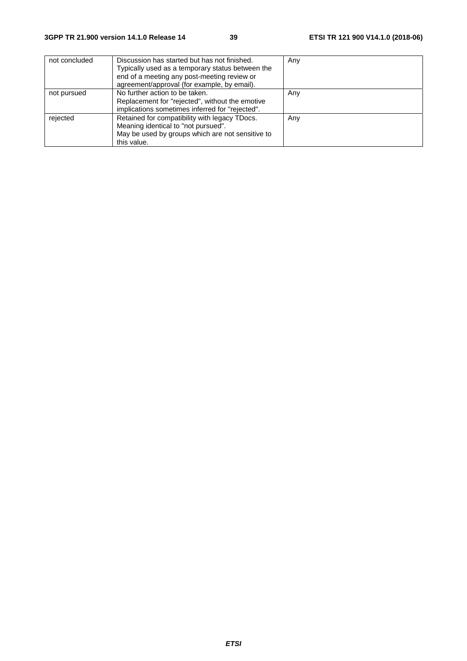| not concluded | Discussion has started but has not finished.<br>Typically used as a temporary status between the<br>end of a meeting any post-meeting review or<br>agreement/approval (for example, by email). | Any |
|---------------|------------------------------------------------------------------------------------------------------------------------------------------------------------------------------------------------|-----|
| not pursued   | No further action to be taken.<br>Replacement for "rejected", without the emotive<br>implications sometimes inferred for "rejected".                                                           | Any |
| rejected      | Retained for compatibility with legacy TDocs.<br>Meaning identical to "not pursued".<br>May be used by groups which are not sensitive to<br>this value.                                        | Any |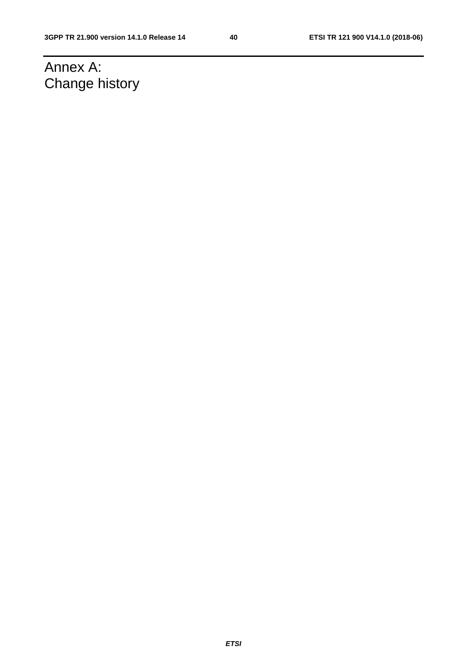# Annex A: Change history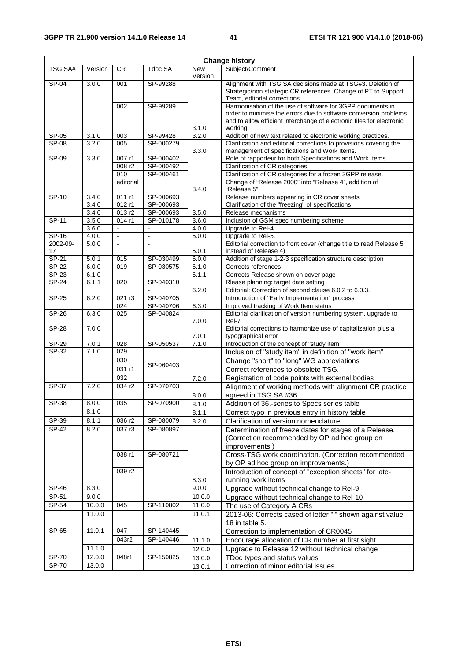| <b>Change history</b> |                |                      |                            |                       |                                                                                                                                                                                                                     |  |
|-----------------------|----------------|----------------------|----------------------------|-----------------------|---------------------------------------------------------------------------------------------------------------------------------------------------------------------------------------------------------------------|--|
| TSG SA#               | Version        | CR.                  | Tdoc SA                    | <b>New</b><br>Version | Subject/Comment                                                                                                                                                                                                     |  |
| $SP-04$               | 3.0.0          | 001                  | SP-99288                   |                       | Alignment with TSG SA decisions made at TSG#3. Deletion of<br>Strategic/non strategic CR references. Change of PT to Support<br>Team, editorial corrections.                                                        |  |
|                       |                | 002                  | SP-99289                   | 3.1.0                 | Harmonisation of the use of software for 3GPP documents in<br>order to minimise the errors due to software conversion problems<br>and to allow efficient interchange of electronic files for electronic<br>working. |  |
| SP-05                 | 3.1.0          | 003                  | SP-99428                   | 3.2.0                 | Addition of new text related to electronic working practices.                                                                                                                                                       |  |
| $SP-08$               | 3.2.0          | 005                  | SP-000279                  | 3.3.0                 | Clarification and editorial corrections to provisions covering the<br>management of specifications and Work Items.                                                                                                  |  |
| SP-09                 | 3.3.0          | 007 r1               | SP-000402                  |                       | Role of rapporteur for both Specifications and Work Items.                                                                                                                                                          |  |
|                       |                | 008 r2               | SP-000492                  |                       | Clarification of CR categories.                                                                                                                                                                                     |  |
|                       |                | 010<br>editorial     | SP-000461                  |                       | Clarification of CR categories for a frozen 3GPP release.<br>Change of "Release 2000" into "Release 4", addition of                                                                                                 |  |
|                       |                |                      |                            | 3.4.0                 | "Release 5".                                                                                                                                                                                                        |  |
| $SP-10$               | 3.4.0          | 011 r1               | SP-000693                  |                       | Release numbers appearing in CR cover sheets                                                                                                                                                                        |  |
|                       | 3.4.0          | 012 r1               | SP-000693                  |                       | Clarification of the "freezing" of specifications                                                                                                                                                                   |  |
|                       | 3.4.0          | 013r2                | SP-000693                  | 3.5.0                 | Release mechanisms                                                                                                                                                                                                  |  |
| SP-11                 | 3.5.0          | 014 r1               | SP-010178                  | 3.6.0                 | Inclusion of GSM spec numbering scheme                                                                                                                                                                              |  |
|                       | 3.6.0<br>4.0.0 | $\Box$<br>$\omega$   | $\blacksquare$<br>$\omega$ | 4.0.0                 | Upgrade to Rel-4.<br>Upgrade to Rel-5.                                                                                                                                                                              |  |
| SP-16<br>2002-09-     | 5.0.0          | $\ddot{\phantom{a}}$ |                            | 5.0.0                 | Editorial correction to front cover (change title to read Release 5                                                                                                                                                 |  |
| 17                    |                |                      |                            | 5.0.1                 | instead of Release 4)                                                                                                                                                                                               |  |
| $SP-21$               | 5.0.1          | 015                  | SP-030499                  | 6.0.0                 | Addition of stage 1-2-3 specification structure description                                                                                                                                                         |  |
| $SP-22$               | 6.0.0          | 019                  | SP-030575                  | 6.1.0                 | Corrects references                                                                                                                                                                                                 |  |
| SP-23                 | 6.1.0          |                      |                            | 6.1.1                 | Corrects Release shown on cover page                                                                                                                                                                                |  |
| $SP-24$               | 6.1.1          | 020                  | SP-040310                  |                       | Rlease planning: target date setting                                                                                                                                                                                |  |
| SP-25                 | 6.2.0          | 021 r3               | SP-040705                  | 6.2.0                 | Editorial: Correction of second clause 6.0.2 to 6.0.3.<br>Introduction of "Early Implementation" process                                                                                                            |  |
|                       |                | 024                  | SP-040706                  | 6.3.0                 | Improved tracking of Work Item status                                                                                                                                                                               |  |
| SP-26                 | 6.3.0          | 025                  | SP-040824                  |                       | Editorial clarification of version numbering system, upgrade to                                                                                                                                                     |  |
|                       |                |                      |                            | 7.0.0                 | Rel-7                                                                                                                                                                                                               |  |
| $SP-28$               | 7.0.0          |                      |                            | 7.0.1                 | Editorial corrections to harmonize use of capitalization plus a<br>typographical error                                                                                                                              |  |
| SP-29                 | 7.0.1          | 028                  | SP-050537                  | 7.1.0                 | Introduction of the concept of "study item"                                                                                                                                                                         |  |
| SP-32                 | 7.1.0          | 029                  |                            |                       | Inclusion of "study item" in definition of "work item"                                                                                                                                                              |  |
|                       |                | 030                  | SP-060403                  |                       | Change "short" to "long" WG abbreviations                                                                                                                                                                           |  |
|                       |                | 031 r1               |                            |                       | Correct references to obsolete TSG.                                                                                                                                                                                 |  |
|                       |                | 032                  |                            | 7.2.0                 | Registration of code points with external bodies                                                                                                                                                                    |  |
| $SP-37$               | 7.2.0          | 034 r2               | SP-070703                  | 8.0.0                 | Alignment of working methods with alignment CR practice<br>agreed in TSG SA #36                                                                                                                                     |  |
| $SP-38$               | 8.0.0          | 035                  | SP-070900                  | 8.1.0                 | Addition of 36.-series to Specs series table                                                                                                                                                                        |  |
|                       | 8.1.0          |                      |                            | 8.1.1                 | Correct typo in previous entry in history table                                                                                                                                                                     |  |
| $SP-39$               | 8.1.1          | 036 r2               | SP-080079                  | 8.2.0                 | Clarification of version nomenclature                                                                                                                                                                               |  |
| $SP-42$               | 8.2.0          | 037r3                | SP-080897                  |                       | Determination of freeze dates for stages of a Release.<br>(Correction recommended by OP ad hoc group on<br>improvements.)                                                                                           |  |
|                       |                | 038 r1               | SP-080721                  |                       | Cross-TSG work coordination. (Correction recommended<br>by OP ad hoc group on improvements.)                                                                                                                        |  |
|                       |                | 039r2                |                            | 8.3.0                 | Introduction of concept of "exception sheets" for late-<br>running work items                                                                                                                                       |  |
| SP-46                 | 8.3.0          |                      |                            | 9.0.0                 | Upgrade without technical change to Rel-9                                                                                                                                                                           |  |
| $SP-51$               | 9.0.0          |                      |                            | 10.0.0                | Upgrade without technical change to Rel-10                                                                                                                                                                          |  |
| SP-54                 | 10.0.0         | 045                  | SP-110802                  | 11.0.0                | The use of Category A CRs                                                                                                                                                                                           |  |
|                       | 11.0.0         |                      |                            | 11.0.1                | 2013-06: Corrects cased of letter "i" shown against value<br>18 in table 5.                                                                                                                                         |  |
| SP-65                 | 11.0.1         | 047                  | SP-140445                  |                       | Correction to implementation of CR0045                                                                                                                                                                              |  |
|                       |                | 043r2                | SP-140446                  | 11.1.0                | Encourage allocation of CR number at first sight                                                                                                                                                                    |  |
|                       | 11.1.0         |                      |                            | 12.0.0                | Upgrade to Release 12 without technical change                                                                                                                                                                      |  |
| SP-70                 | 12.0.0         | 048r1                | SP-150825                  | 13.0.0                | TDoc types and status values                                                                                                                                                                                        |  |
| SP-70                 | 13.0.0         |                      |                            | 13.0.1                | Correction of minor editorial issues                                                                                                                                                                                |  |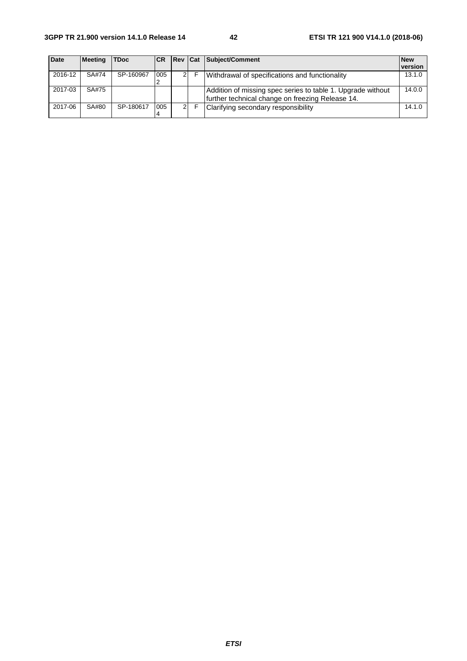| <b>Date</b> | <b>Meeting</b> | <b>TDoc</b> | <b>ICR</b> |    | <b>Rev Cat Subject/Comment</b>                                                                                  | <b>New</b> |
|-------------|----------------|-------------|------------|----|-----------------------------------------------------------------------------------------------------------------|------------|
|             |                |             |            |    |                                                                                                                 | version    |
| 2016-12     | SA#74          | SP-160967   | 005        | 21 | Withdrawal of specifications and functionality                                                                  | 13.1.0     |
| 2017-03     | SA#75          |             |            |    | Addition of missing spec series to table 1. Upgrade without<br>further technical change on freezing Release 14. | 14.0.0     |
| 2017-06     | SA#80          | SP-180617   | 005        | 21 | Clarifying secondary responsibility                                                                             | 14.1.0     |